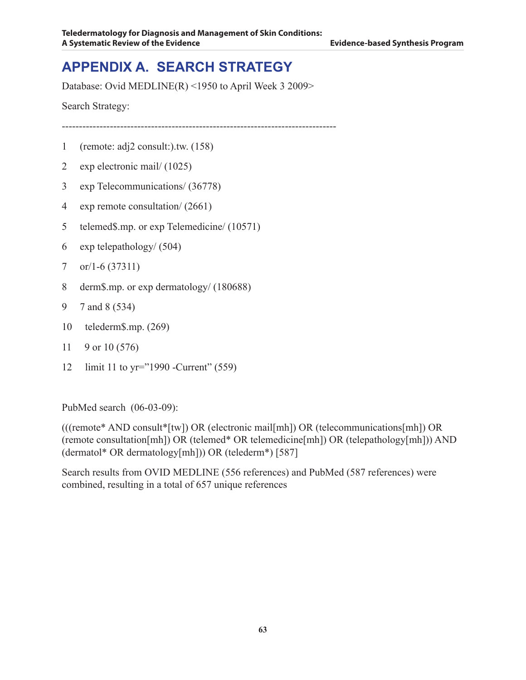# **APPENDIX A. Search Strategy**

Database: Ovid MEDLINE(R) <1950 to April Week 3 2009>

Search Strategy:

--------------------------------------------------------------------------------

- 1 (remote: adj2 consult:).tw. (158)
- 2 exp electronic mail/ (1025)
- 3 exp Telecommunications/ (36778)
- 4 exp remote consultation/ (2661)
- 5 telemed\$.mp. or exp Telemedicine/ (10571)
- 6 exp telepathology/ (504)
- 7 or/1-6 (37311)
- 8 derm\$.mp. or exp dermatology/ (180688)
- 9 7 and 8 (534)
- 10 telederm\$.mp. (269)
- 11 9 or 10 (576)
- 12 limit 11 to yr="1990 -Current" (559)

PubMed search (06-03-09):

(((remote\* AND consult\*[tw]) OR (electronic mail[mh]) OR (telecommunications[mh]) OR (remote consultation[mh]) OR (telemed\* OR telemedicine[mh]) OR (telepathology[mh])) AND (dermatol\* OR dermatology[mh])) OR (telederm\*) [587]

Search results from OVID MEDLINE (556 references) and PubMed (587 references) were combined, resulting in a total of 657 unique references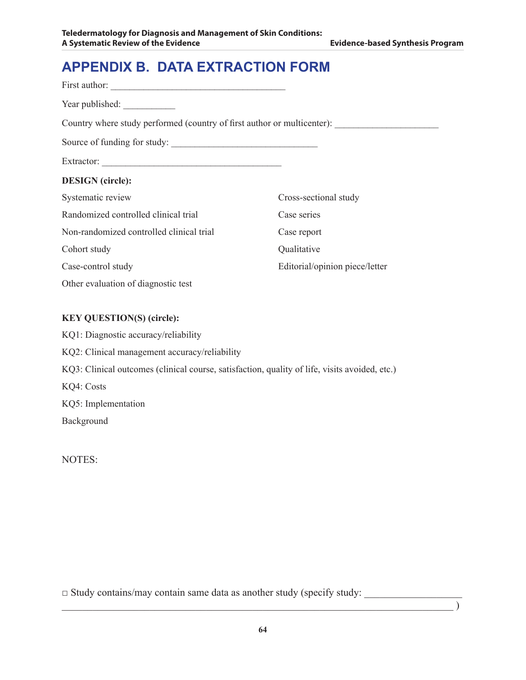# **APPENDIX B. Data Extraction Form**

| Year published:                                                         |                                |
|-------------------------------------------------------------------------|--------------------------------|
| Country where study performed (country of first author or multicenter): |                                |
| Source of funding for study:                                            |                                |
|                                                                         |                                |
| <b>DESIGN</b> (circle):                                                 |                                |
| Systematic review                                                       | Cross-sectional study          |
| Randomized controlled clinical trial                                    | Case series                    |
| Non-randomized controlled clinical trial                                | Case report                    |
| Cohort study                                                            | Qualitative                    |
| Case-control study                                                      | Editorial/opinion piece/letter |
| Other evaluation of diagnostic test                                     |                                |

#### **KEY QUESTION(S) (circle):**

KQ1: Diagnostic accuracy/reliability KQ2: Clinical management accuracy/reliability KQ3: Clinical outcomes (clinical course, satisfaction, quality of life, visits avoided, etc.) KQ4: Costs KQ5: Implementation Background

NOTES:

□ Study contains/may contain same data as another study (specify study: \_\_\_\_\_\_\_\_\_\_\_\_\_\_\_\_\_\_\_

 $\hspace{.5cm}$  ) and the contract of the contract of the contract of the contract of the contract of  $\hspace{.5cm}$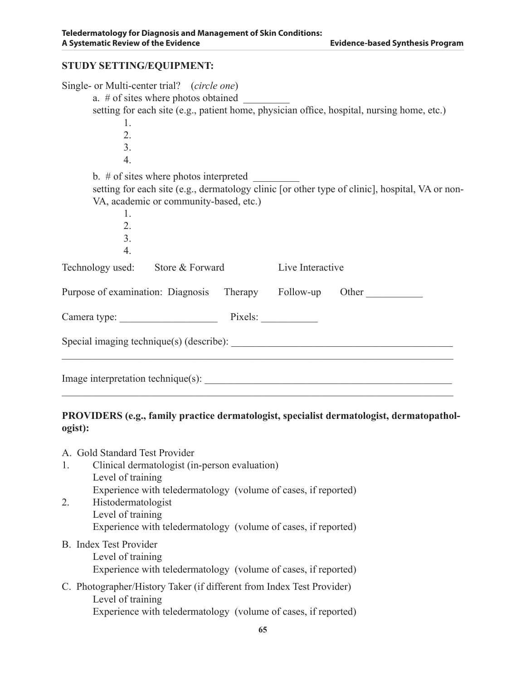#### **STUDY SETTING/EQUIPMENT:**

| Single- or Multi-center trial? (circle one)               |                  |                                                                                                 |
|-----------------------------------------------------------|------------------|-------------------------------------------------------------------------------------------------|
| a. $#$ of sites where photos obtained                     |                  |                                                                                                 |
|                                                           |                  | setting for each site (e.g., patient home, physician office, hospital, nursing home, etc.)      |
| 1.                                                        |                  |                                                                                                 |
| 2.                                                        |                  |                                                                                                 |
| $\overline{3}$ .                                          |                  |                                                                                                 |
|                                                           |                  |                                                                                                 |
| $\overline{4}$ .                                          |                  |                                                                                                 |
| b. $#$ of sites where photos interpreted                  |                  |                                                                                                 |
|                                                           |                  | setting for each site (e.g., dermatology clinic [or other type of clinic], hospital, VA or non- |
| VA, academic or community-based, etc.)                    |                  |                                                                                                 |
| $\mathbf{1}$ .                                            |                  |                                                                                                 |
| 2.                                                        |                  |                                                                                                 |
|                                                           |                  |                                                                                                 |
| 3.                                                        |                  |                                                                                                 |
| 4.                                                        |                  |                                                                                                 |
| Technology used: Store & Forward                          | Live Interactive |                                                                                                 |
| Purpose of examination: Diagnosis Therapy Follow-up Other |                  |                                                                                                 |
| Camera type: Pixels:                                      |                  |                                                                                                 |
|                                                           |                  |                                                                                                 |
| Image interpretation technique(s):                        |                  |                                                                                                 |

#### **PROVIDERS (e.g., family practice dermatologist, specialist dermatologist, dermatopathologist):**

A. Gold Standard Test Provider 1. Clinical dermatologist (in-person evaluation) Level of training Experience with teledermatology (volume of cases, if reported) 2. Histodermatologist Level of training Experience with teledermatology (volume of cases, if reported) B. Index Test Provider Level of training Experience with teledermatology (volume of cases, if reported) C. Photographer/History Taker (if different from Index Test Provider) Level of training

Experience with teledermatology (volume of cases, if reported)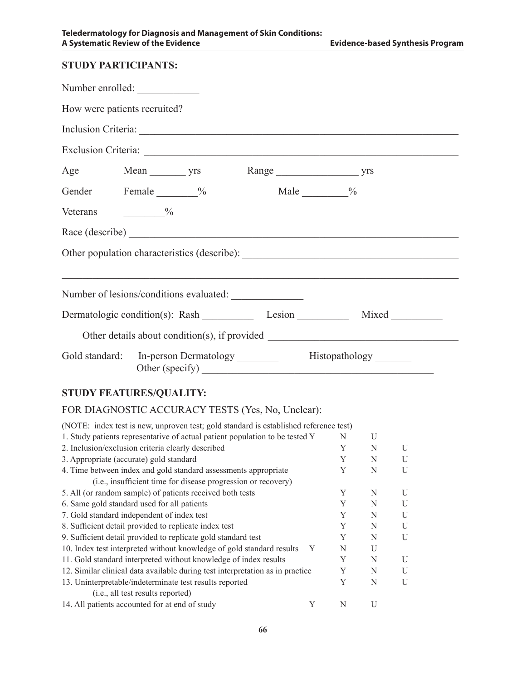|                            | A Systematic Review of the Evidence     |                   | <b>Evidence-based Synthesis Program</b> |  |
|----------------------------|-----------------------------------------|-------------------|-----------------------------------------|--|
| <b>STUDY PARTICIPANTS:</b> |                                         |                   |                                         |  |
|                            | Number enrolled:                        |                   |                                         |  |
|                            |                                         |                   | How were patients recruited?            |  |
|                            |                                         |                   |                                         |  |
|                            |                                         |                   |                                         |  |
|                            | Age Mean yrs Range yrs yrs              |                   |                                         |  |
|                            | Gender Female %                         | Male $\_\_\_\_\_$ |                                         |  |
| Veterans $\frac{9}{6}$     |                                         |                   |                                         |  |
|                            |                                         |                   |                                         |  |
|                            |                                         |                   |                                         |  |
|                            |                                         |                   |                                         |  |
|                            | Number of lesions/conditions evaluated: |                   |                                         |  |
|                            |                                         |                   |                                         |  |
|                            |                                         |                   |                                         |  |
|                            | Other (specify)                         |                   |                                         |  |

## **STUDY FEATURES/QUALITY:**

### FOR DIAGNOSTIC ACCURACY TESTS (Yes, No, Unclear):

| (NOTE: index test is new, unproven test; gold standard is established reference test) |   |   |   |   |
|---------------------------------------------------------------------------------------|---|---|---|---|
| 1. Study patients representative of actual patient population to be tested Y          |   | N | U |   |
| 2. Inclusion/exclusion criteria clearly described                                     |   | Y | N | U |
| 3. Appropriate (accurate) gold standard                                               |   | Y | N | U |
| 4. Time between index and gold standard assessments appropriate                       |   | Y | N | U |
| (i.e., insufficient time for disease progression or recovery)                         |   |   |   |   |
| 5. All (or random sample) of patients received both tests                             |   | Y | N | U |
| 6. Same gold standard used for all patients                                           |   | Y | N | U |
| 7. Gold standard independent of index test                                            |   | Y | N | U |
| 8. Sufficient detail provided to replicate index test                                 |   | Y | N | U |
| 9. Sufficient detail provided to replicate gold standard test                         |   | Y | N | U |
| 10. Index test interpreted without knowledge of gold standard results                 | Y | N | U |   |
| 11. Gold standard interpreted without knowledge of index results                      |   | Y | N | U |
| 12. Similar clinical data available during test interpretation as in practice         |   | Y | N | U |
| 13. Uninterpretable/indeterminate test results reported                               |   | Y | N | U |
| (i.e., all test results reported)                                                     |   |   |   |   |
| 14. All patients accounted for at end of study                                        | Y | N | U |   |
|                                                                                       |   |   |   |   |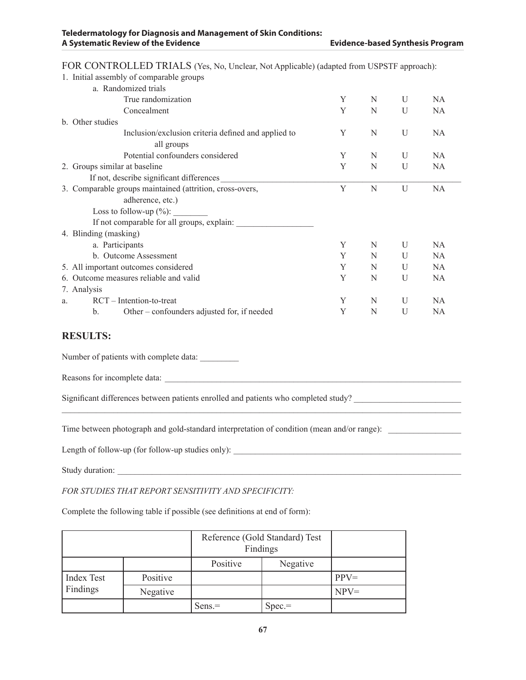| 1. Initial assembly of comparable groups                      |   |   |   |           |
|---------------------------------------------------------------|---|---|---|-----------|
| a. Randomized trials                                          |   |   |   |           |
| True randomization                                            | Y | N | U | NA.       |
| Concealment                                                   | Y | N | U | NA.       |
| b. Other studies                                              |   |   |   |           |
| Inclusion/exclusion criteria defined and applied to           | Y | N | U | <b>NA</b> |
| all groups                                                    |   |   |   |           |
| Potential confounders considered                              | Y | N | U | NA.       |
| 2. Groups similar at baseline                                 | Y | N | U | NA.       |
| If not, describe significant differences                      |   |   |   |           |
| 3. Comparable groups maintained (attrition, cross-overs,      | Y | N | U | NA        |
| adherence, etc.)                                              |   |   |   |           |
| Loss to follow-up $(\%):$                                     |   |   |   |           |
| If not comparable for all groups, explain:                    |   |   |   |           |
| 4. Blinding (masking)                                         |   |   |   |           |
| a. Participants                                               | Y | N | U | NA.       |
| b. Outcome Assessment                                         | Y | N | U | <b>NA</b> |
| 5. All important outcomes considered                          | Y | N | U | <b>NA</b> |
| 6. Outcome measures reliable and valid                        | Y | N | U | <b>NA</b> |
| 7. Analysis                                                   |   |   |   |           |
| $RCT - Intention-to-treat$<br>a.                              | Y | N | U | NA.       |
| Other – confounders adjusted for, if needed<br>$\mathbf{b}$ . | Y | N | U | <b>NA</b> |
| RESULTS:                                                      |   |   |   |           |

FOR CONTROLLED TRIALS (Yes, No, Unclear, Not Applicable) (adapted from USPSTF approach):

#### **RESULTS:**

Number of patients with complete data:

Reasons for incomplete data:

Significant differences between patients enrolled and patients who completed study? \_\_\_\_\_\_\_\_\_\_\_\_\_\_\_\_\_\_\_\_\_\_\_\_\_

Time between photograph and gold-standard interpretation of condition (mean and/or range): \_\_\_\_\_\_\_\_\_\_\_\_\_\_\_\_\_\_\_

 $\mathcal{L}_\mathcal{L} = \{ \mathcal{L}_\mathcal{L} = \{ \mathcal{L}_\mathcal{L} = \{ \mathcal{L}_\mathcal{L} = \{ \mathcal{L}_\mathcal{L} = \{ \mathcal{L}_\mathcal{L} = \{ \mathcal{L}_\mathcal{L} = \{ \mathcal{L}_\mathcal{L} = \{ \mathcal{L}_\mathcal{L} = \{ \mathcal{L}_\mathcal{L} = \{ \mathcal{L}_\mathcal{L} = \{ \mathcal{L}_\mathcal{L} = \{ \mathcal{L}_\mathcal{L} = \{ \mathcal{L}_\mathcal{L} = \{ \mathcal{L}_\mathcal{$ 

Length of follow-up (for follow-up studies only):

Study duration:

*FOR STUDIES THAT REPORT SENSITIVITY AND SPECIFICITY:*

Complete the following table if possible (see definitions at end of form):

|                   |          | Reference (Gold Standard) Test<br>Findings |          |         |
|-------------------|----------|--------------------------------------------|----------|---------|
|                   |          | Positive<br>Negative                       |          |         |
| <b>Index Test</b> | Positive |                                            |          | $PPV=$  |
| Findings          | Negative |                                            |          | $NPV =$ |
|                   |          | $Sens =$                                   | $Spec =$ |         |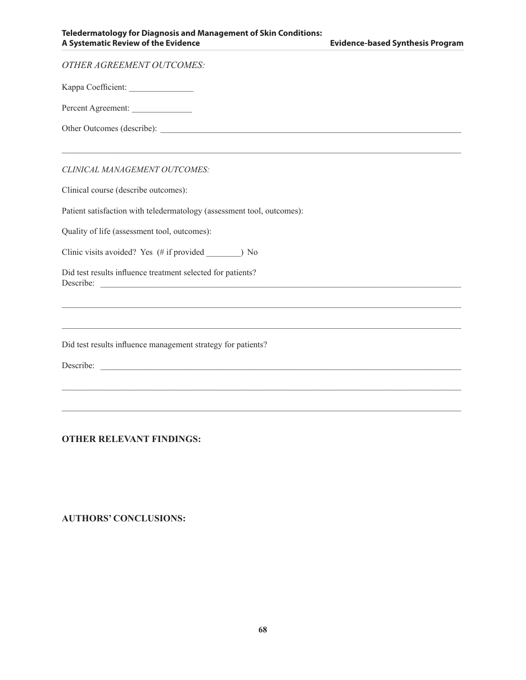| <b>OTHER AGREEMENT OUTCOMES:</b>                                                 |
|----------------------------------------------------------------------------------|
| Kappa Coefficient:                                                               |
| Percent Agreement:                                                               |
|                                                                                  |
| ,我们也不能在这里的时候,我们也不能在这里的时候,我们也不能在这里的时候,我们也不能会不能在这里的时候,我们也不能会不能会不能会不能会不能会不能会不能会不能会不 |
| CLINICAL MANAGEMENT OUTCOMES:                                                    |
| Clinical course (describe outcomes):                                             |
| Patient satisfaction with teledermatology (assessment tool, outcomes):           |
| Quality of life (assessment tool, outcomes):                                     |
|                                                                                  |
| Did test results influence treatment selected for patients?                      |
|                                                                                  |
|                                                                                  |
| Did test results influence management strategy for patients?                     |
| Describe:                                                                        |
|                                                                                  |

 $\mathcal{L}_\mathcal{L} = \{ \mathcal{L}_\mathcal{L} = \{ \mathcal{L}_\mathcal{L} = \{ \mathcal{L}_\mathcal{L} = \{ \mathcal{L}_\mathcal{L} = \{ \mathcal{L}_\mathcal{L} = \{ \mathcal{L}_\mathcal{L} = \{ \mathcal{L}_\mathcal{L} = \{ \mathcal{L}_\mathcal{L} = \{ \mathcal{L}_\mathcal{L} = \{ \mathcal{L}_\mathcal{L} = \{ \mathcal{L}_\mathcal{L} = \{ \mathcal{L}_\mathcal{L} = \{ \mathcal{L}_\mathcal{L} = \{ \mathcal{L}_\mathcal{$ 

### **OTHER RELEVANT FINDINGS:**

#### **AUTHORS' CONCLUSIONS:**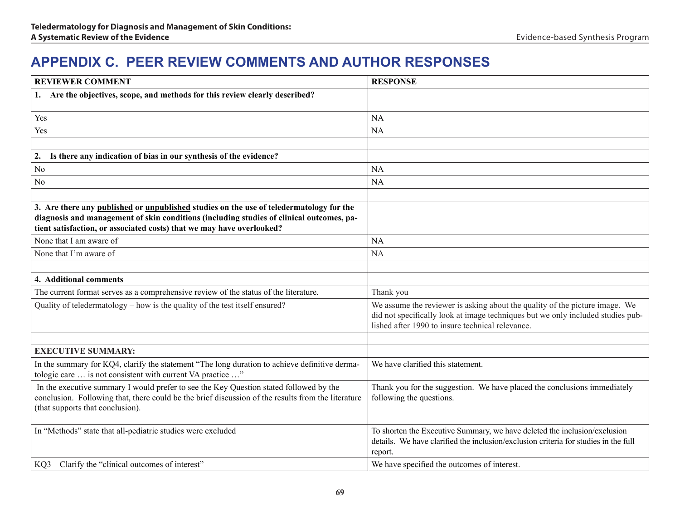# **APPENDIX C. Peer Review Comments and Author Responses**

| <b>REVIEWER COMMENT</b>                                                                                                                                                                                                                                      | <b>RESPONSE</b>                                                                                                                                                                                                    |
|--------------------------------------------------------------------------------------------------------------------------------------------------------------------------------------------------------------------------------------------------------------|--------------------------------------------------------------------------------------------------------------------------------------------------------------------------------------------------------------------|
| 1. Are the objectives, scope, and methods for this review clearly described?                                                                                                                                                                                 |                                                                                                                                                                                                                    |
| Yes                                                                                                                                                                                                                                                          | <b>NA</b>                                                                                                                                                                                                          |
| Yes                                                                                                                                                                                                                                                          | <b>NA</b>                                                                                                                                                                                                          |
|                                                                                                                                                                                                                                                              |                                                                                                                                                                                                                    |
| Is there any indication of bias in our synthesis of the evidence?<br>2.                                                                                                                                                                                      |                                                                                                                                                                                                                    |
| No                                                                                                                                                                                                                                                           | <b>NA</b>                                                                                                                                                                                                          |
| No                                                                                                                                                                                                                                                           | <b>NA</b>                                                                                                                                                                                                          |
|                                                                                                                                                                                                                                                              |                                                                                                                                                                                                                    |
| 3. Are there any published or unpublished studies on the use of teledermatology for the<br>diagnosis and management of skin conditions (including studies of clinical outcomes, pa-<br>tient satisfaction, or associated costs) that we may have overlooked? |                                                                                                                                                                                                                    |
| None that I am aware of                                                                                                                                                                                                                                      | <b>NA</b>                                                                                                                                                                                                          |
| None that I'm aware of                                                                                                                                                                                                                                       | <b>NA</b>                                                                                                                                                                                                          |
|                                                                                                                                                                                                                                                              |                                                                                                                                                                                                                    |
| 4. Additional comments                                                                                                                                                                                                                                       |                                                                                                                                                                                                                    |
| The current format serves as a comprehensive review of the status of the literature.                                                                                                                                                                         | Thank you                                                                                                                                                                                                          |
| Quality of teledermatology – how is the quality of the test itself ensured?                                                                                                                                                                                  | We assume the reviewer is asking about the quality of the picture image. We<br>did not specifically look at image techniques but we only included studies pub-<br>lished after 1990 to insure technical relevance. |
|                                                                                                                                                                                                                                                              |                                                                                                                                                                                                                    |
| <b>EXECUTIVE SUMMARY:</b>                                                                                                                                                                                                                                    |                                                                                                                                                                                                                    |
| In the summary for KQ4, clarify the statement "The long duration to achieve definitive derma-<br>tologic care  is not consistent with current VA practice "                                                                                                  | We have clarified this statement.                                                                                                                                                                                  |
| In the executive summary I would prefer to see the Key Question stated followed by the<br>conclusion. Following that, there could be the brief discussion of the results from the literature<br>(that supports that conclusion).                             | Thank you for the suggestion. We have placed the conclusions immediately<br>following the questions.                                                                                                               |
| In "Methods" state that all-pediatric studies were excluded                                                                                                                                                                                                  | To shorten the Executive Summary, we have deleted the inclusion/exclusion<br>details. We have clarified the inclusion/exclusion criteria for studies in the full<br>report.                                        |
| KQ3 – Clarify the "clinical outcomes of interest"                                                                                                                                                                                                            | We have specified the outcomes of interest.                                                                                                                                                                        |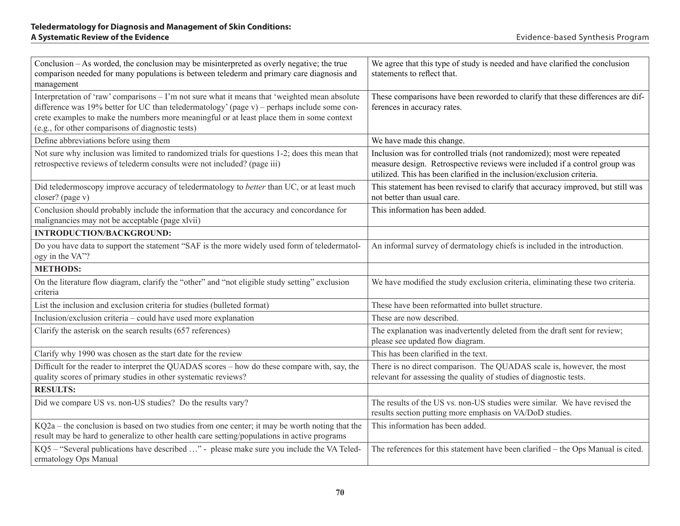| Conclusion – As worded, the conclusion may be misinterpreted as overly negative; the true<br>comparison needed for many populations is between telederm and primary care diagnosis and<br>management                                                                                                                                           | We agree that this type of study is needed and have clarified the conclusion<br>statements to reflect that.                                                                                                                      |
|------------------------------------------------------------------------------------------------------------------------------------------------------------------------------------------------------------------------------------------------------------------------------------------------------------------------------------------------|----------------------------------------------------------------------------------------------------------------------------------------------------------------------------------------------------------------------------------|
| Interpretation of 'raw' comparisons – I'm not sure what it means that 'weighted mean absolute<br>difference was 19% better for UC than teledermatology' (page v) – perhaps include some con-<br>crete examples to make the numbers more meaningful or at least place them in some context<br>(e.g., for other comparisons of diagnostic tests) | These comparisons have been reworded to clarify that these differences are dif-<br>ferences in accuracy rates.                                                                                                                   |
| Define abbreviations before using them                                                                                                                                                                                                                                                                                                         | We have made this change.                                                                                                                                                                                                        |
| Not sure why inclusion was limited to randomized trials for questions 1-2; does this mean that<br>retrospective reviews of telederm consults were not included? (page iii)                                                                                                                                                                     | Inclusion was for controlled trials (not randomized); most were repeated<br>measure design. Retrospective reviews were included if a control group was<br>utilized. This has been clarified in the inclusion/exclusion criteria. |
| Did teledermoscopy improve accuracy of teledermatology to better than UC, or at least much<br>closer? (page v)                                                                                                                                                                                                                                 | This statement has been revised to clarify that accuracy improved, but still was<br>not better than usual care.                                                                                                                  |
| Conclusion should probably include the information that the accuracy and concordance for<br>malignancies may not be acceptable (page xlvii)                                                                                                                                                                                                    | This information has been added.                                                                                                                                                                                                 |
| <b>INTRODUCTION/BACKGROUND:</b>                                                                                                                                                                                                                                                                                                                |                                                                                                                                                                                                                                  |
| Do you have data to support the statement "SAF is the more widely used form of teledermatol-<br>ogy in the VA"?                                                                                                                                                                                                                                | An informal survey of dermatology chiefs is included in the introduction.                                                                                                                                                        |
| <b>METHODS:</b>                                                                                                                                                                                                                                                                                                                                |                                                                                                                                                                                                                                  |
| On the literature flow diagram, clarify the "other" and "not eligible study setting" exclusion<br>criteria                                                                                                                                                                                                                                     | We have modified the study exclusion criteria, eliminating these two criteria.                                                                                                                                                   |
| List the inclusion and exclusion criteria for studies (bulleted format)                                                                                                                                                                                                                                                                        | These have been reformatted into bullet structure.                                                                                                                                                                               |
| Inclusion/exclusion criteria - could have used more explanation                                                                                                                                                                                                                                                                                | These are now described.                                                                                                                                                                                                         |
| Clarify the asterisk on the search results (657 references)                                                                                                                                                                                                                                                                                    | The explanation was inadvertently deleted from the draft sent for review;<br>please see updated flow diagram.                                                                                                                    |
| Clarify why 1990 was chosen as the start date for the review                                                                                                                                                                                                                                                                                   | This has been clarified in the text.                                                                                                                                                                                             |
| Difficult for the reader to interpret the QUADAS scores – how do these compare with, say, the<br>quality scores of primary studies in other systematic reviews?                                                                                                                                                                                | There is no direct comparison. The QUADAS scale is, however, the most<br>relevant for assessing the quality of studies of diagnostic tests.                                                                                      |
| <b>RESULTS:</b>                                                                                                                                                                                                                                                                                                                                |                                                                                                                                                                                                                                  |
| Did we compare US vs. non-US studies? Do the results vary?                                                                                                                                                                                                                                                                                     | The results of the US vs. non-US studies were similar. We have revised the<br>results section putting more emphasis on VA/DoD studies.                                                                                           |
| $KQ2a$ – the conclusion is based on two studies from one center; it may be worth noting that the<br>result may be hard to generalize to other health care setting/populations in active programs                                                                                                                                               | This information has been added.                                                                                                                                                                                                 |
| KQ5 – "Several publications have described " - please make sure you include the VA Teled-<br>ermatology Ops Manual                                                                                                                                                                                                                             | The references for this statement have been clarified - the Ops Manual is cited.                                                                                                                                                 |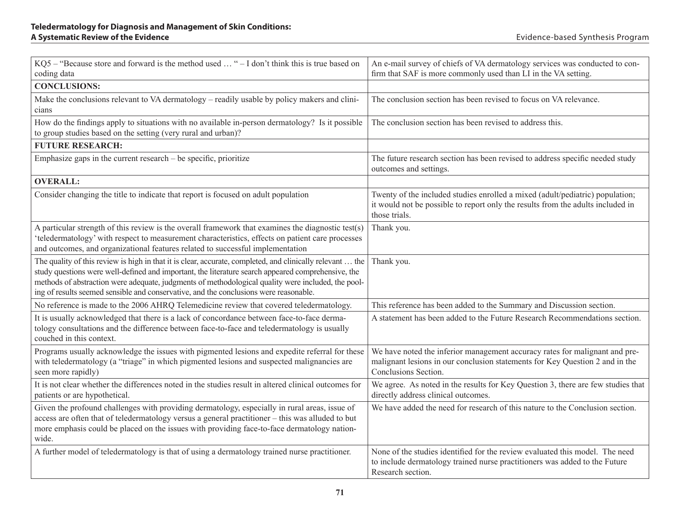| KQ5 - "Because store and forward is the method used  " - I don't think this is true based on<br>coding data                                                                                                                                                                                                                                                                                                    | An e-mail survey of chiefs of VA dermatology services was conducted to con-<br>firm that SAF is more commonly used than LI in the VA setting.                                       |
|----------------------------------------------------------------------------------------------------------------------------------------------------------------------------------------------------------------------------------------------------------------------------------------------------------------------------------------------------------------------------------------------------------------|-------------------------------------------------------------------------------------------------------------------------------------------------------------------------------------|
| <b>CONCLUSIONS:</b>                                                                                                                                                                                                                                                                                                                                                                                            |                                                                                                                                                                                     |
| Make the conclusions relevant to VA dermatology – readily usable by policy makers and clini-<br>cians                                                                                                                                                                                                                                                                                                          | The conclusion section has been revised to focus on VA relevance.                                                                                                                   |
| How do the findings apply to situations with no available in-person dermatology? Is it possible<br>to group studies based on the setting (very rural and urban)?                                                                                                                                                                                                                                               | The conclusion section has been revised to address this.                                                                                                                            |
| <b>FUTURE RESEARCH:</b>                                                                                                                                                                                                                                                                                                                                                                                        |                                                                                                                                                                                     |
| Emphasize gaps in the current research $-$ be specific, prioritize                                                                                                                                                                                                                                                                                                                                             | The future research section has been revised to address specific needed study<br>outcomes and settings.                                                                             |
| <b>OVERALL:</b>                                                                                                                                                                                                                                                                                                                                                                                                |                                                                                                                                                                                     |
| Consider changing the title to indicate that report is focused on adult population                                                                                                                                                                                                                                                                                                                             | Twenty of the included studies enrolled a mixed (adult/pediatric) population;<br>it would not be possible to report only the results from the adults included in<br>those trials.   |
| A particular strength of this review is the overall framework that examines the diagnostic test(s)<br>'teledermatology' with respect to measurement characteristics, effects on patient care processes<br>and outcomes, and organizational features related to successful implementation                                                                                                                       | Thank you.                                                                                                                                                                          |
| The quality of this review is high in that it is clear, accurate, completed, and clinically relevant  the<br>study questions were well-defined and important, the literature search appeared comprehensive, the<br>methods of abstraction were adequate, judgments of methodological quality were included, the pool-<br>ing of results seemed sensible and conservative, and the conclusions were reasonable. | Thank you.                                                                                                                                                                          |
| No reference is made to the 2006 AHRQ Telemedicine review that covered teledermatology.                                                                                                                                                                                                                                                                                                                        | This reference has been added to the Summary and Discussion section.                                                                                                                |
| It is usually acknowledged that there is a lack of concordance between face-to-face derma-<br>tology consultations and the difference between face-to-face and teledermatology is usually<br>couched in this context.                                                                                                                                                                                          | A statement has been added to the Future Research Recommendations section.                                                                                                          |
| Programs usually acknowledge the issues with pigmented lesions and expedite referral for these<br>with teledermatology (a "triage" in which pigmented lesions and suspected malignancies are<br>seen more rapidly)                                                                                                                                                                                             | We have noted the inferior management accuracy rates for malignant and pre-<br>malignant lesions in our conclusion statements for Key Question 2 and in the<br>Conclusions Section. |
| It is not clear whether the differences noted in the studies result in altered clinical outcomes for<br>patients or are hypothetical.                                                                                                                                                                                                                                                                          | We agree. As noted in the results for Key Question 3, there are few studies that<br>directly address clinical outcomes.                                                             |
| Given the profound challenges with providing dermatology, especially in rural areas, issue of<br>access are often that of teledermatology versus a general practitioner - this was alluded to but<br>more emphasis could be placed on the issues with providing face-to-face dermatology nation-<br>wide.                                                                                                      | We have added the need for research of this nature to the Conclusion section.                                                                                                       |
| A further model of teledermatology is that of using a dermatology trained nurse practitioner.                                                                                                                                                                                                                                                                                                                  | None of the studies identified for the review evaluated this model. The need<br>to include dermatology trained nurse practitioners was added to the Future<br>Research section.     |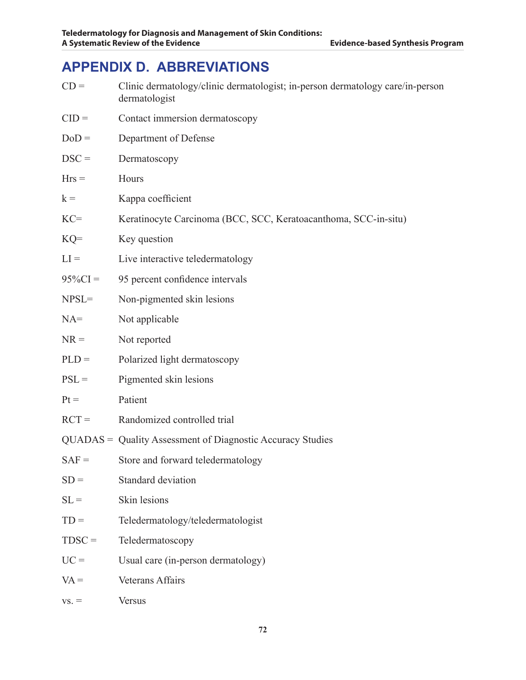# **APPENDIX D. ABBREVIATIONS**

| $CD =$     | Clinic dermatology/clinic dermatologist; in-person dermatology care/in-person<br>dermatologist |
|------------|------------------------------------------------------------------------------------------------|
| $CID =$    | Contact immersion dermatoscopy                                                                 |
| $DoD =$    | Department of Defense                                                                          |
| $DSC =$    | Dermatoscopy                                                                                   |
| $Hrs =$    | Hours                                                                                          |
| $k =$      | Kappa coefficient                                                                              |
| $KC=$      | Keratinocyte Carcinoma (BCC, SCC, Keratoacanthoma, SCC-in-situ)                                |
| $KQ=$      | Key question                                                                                   |
| $LI =$     | Live interactive teledermatology                                                               |
| $95\%CI =$ | 95 percent confidence intervals                                                                |
| $NPSL =$   | Non-pigmented skin lesions                                                                     |
| $NA =$     | Not applicable                                                                                 |
| $NR =$     | Not reported                                                                                   |
| $PLD =$    | Polarized light dermatoscopy                                                                   |
| $PSL =$    | Pigmented skin lesions                                                                         |
| $Pt =$     | Patient                                                                                        |
| $RCT =$    | Randomized controlled trial                                                                    |
|            | QUADAS = Quality Assessment of Diagnostic Accuracy Studies                                     |
| $SAF =$    | Store and forward teledermatology                                                              |
| $SD =$     | Standard deviation                                                                             |
| $SL =$     | Skin lesions                                                                                   |
| $TD =$     | Teledermatology/teledermatologist                                                              |
| $TDSC =$   | Teledermatoscopy                                                                               |
| $UC =$     | Usual care (in-person dermatology)                                                             |
| $VA =$     | <b>Veterans Affairs</b>                                                                        |
|            |                                                                                                |

 $vs. =$  Versus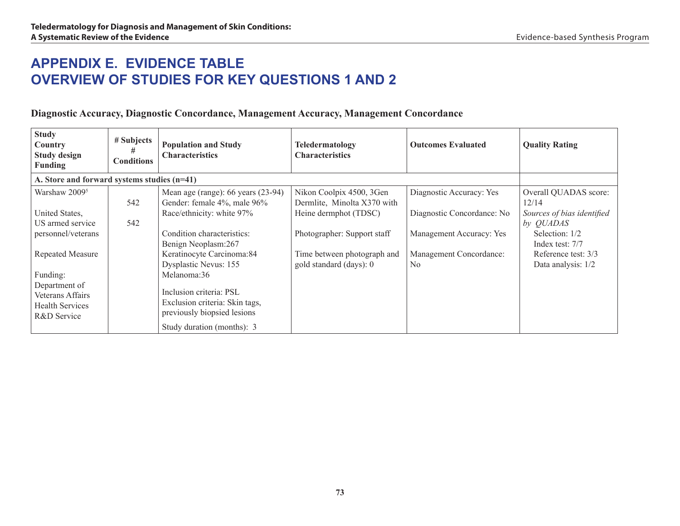# **APPENDIX E. Evidence Table Overview of Studies for Key Questions 1 and 2**

### **Diagnostic Accuracy, Diagnostic Concordance, Management Accuracy, Management Concordance**

| <b>Study</b><br>Country<br><b>Study design</b><br><b>Funding</b> | # Subjects<br><b>Conditions</b> | <b>Population and Study</b><br><b>Characteristics</b>             | <b>Teledermatology</b><br><b>Characteristics</b>        | <b>Outcomes Evaluated</b>                 | <b>Quality Rating</b>                     |
|------------------------------------------------------------------|---------------------------------|-------------------------------------------------------------------|---------------------------------------------------------|-------------------------------------------|-------------------------------------------|
| A. Store and forward systems studies (n=41)                      |                                 |                                                                   |                                                         |                                           |                                           |
| Warshaw 2009 <sup>5</sup>                                        | 542                             | Mean age (range): 66 years (23-94)<br>Gender: female 4%, male 96% | Nikon Coolpix 4500, 3Gen<br>Dermlite, Minolta X370 with | Diagnostic Accuracy: Yes                  | Overall QUADAS score:<br>12/14            |
| United States,                                                   |                                 | Race/ethnicity: white 97%                                         | Heine dermphot (TDSC)                                   | Diagnostic Concordance: No                | Sources of bias identified                |
| US armed service                                                 | 542                             |                                                                   |                                                         |                                           | by <i>QUADAS</i>                          |
| personnel/veterans                                               |                                 | Condition characteristics:<br>Benign Neoplasm:267                 | Photographer: Support staff                             | Management Accuracy: Yes                  | Selection: 1/2<br>Index test: 7/7         |
| <b>Repeated Measure</b>                                          |                                 | Keratinocyte Carcinoma: 84<br>Dysplastic Nevus: 155               | Time between photograph and<br>gold standard (days): 0  | Management Concordance:<br>N <sub>0</sub> | Reference test: 3/3<br>Data analysis: 1/2 |
| Funding:<br>Department of                                        |                                 | Melanoma:36                                                       |                                                         |                                           |                                           |
| Veterans Affairs                                                 |                                 | Inclusion criteria: PSL                                           |                                                         |                                           |                                           |
| <b>Health Services</b><br>R&D Service                            |                                 | Exclusion criteria: Skin tags,<br>previously biopsied lesions     |                                                         |                                           |                                           |
|                                                                  |                                 | Study duration (months): 3                                        |                                                         |                                           |                                           |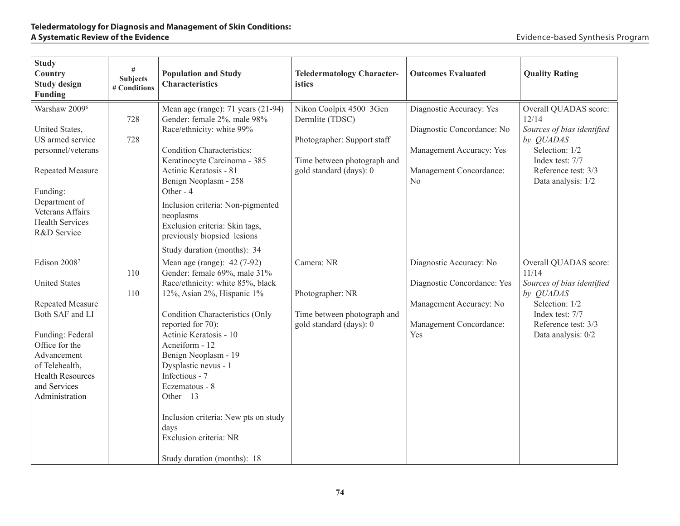| <b>Study</b><br>Country<br><b>Study design</b><br><b>Funding</b>                                                                                                                                                       | $\#$<br><b>Subjects</b><br># Conditions | <b>Population and Study</b><br><b>Characteristics</b>                                                                                                                                                                                                                                                                                                                                                                                                | <b>Teledermatology Character-</b><br>istics                                                                                         | <b>Outcomes Evaluated</b>                                                                                           | <b>Quality Rating</b>                                                                                                                                       |
|------------------------------------------------------------------------------------------------------------------------------------------------------------------------------------------------------------------------|-----------------------------------------|------------------------------------------------------------------------------------------------------------------------------------------------------------------------------------------------------------------------------------------------------------------------------------------------------------------------------------------------------------------------------------------------------------------------------------------------------|-------------------------------------------------------------------------------------------------------------------------------------|---------------------------------------------------------------------------------------------------------------------|-------------------------------------------------------------------------------------------------------------------------------------------------------------|
| Warshaw 2009 <sup>6</sup><br>United States,<br>US armed service<br>personnel/veterans<br>Repeated Measure<br>Funding:<br>Department of<br>Veterans Affairs<br><b>Health Services</b><br>R&D Service                    | 728<br>728                              | Mean age (range): $71$ years (21-94)<br>Gender: female 2%, male 98%<br>Race/ethnicity: white 99%<br><b>Condition Characteristics:</b><br>Keratinocyte Carcinoma - 385<br>Actinic Keratosis - 81<br>Benign Neoplasm - 258<br>Other - 4<br>Inclusion criteria: Non-pigmented<br>neoplasms<br>Exclusion criteria: Skin tags,<br>previously biopsied lesions<br>Study duration (months): 34                                                              | Nikon Coolpix 4500 3Gen<br>Dermlite (TDSC)<br>Photographer: Support staff<br>Time between photograph and<br>gold standard (days): 0 | Diagnostic Accuracy: Yes<br>Diagnostic Concordance: No<br>Management Accuracy: Yes<br>Management Concordance:<br>No | Overall QUADAS score:<br>12/14<br>Sources of bias identified<br>by QUADAS<br>Selection: 1/2<br>Index test: 7/7<br>Reference test: 3/3<br>Data analysis: 1/2 |
| Edison 20087<br><b>United States</b><br><b>Repeated Measure</b><br>Both SAF and LI<br>Funding: Federal<br>Office for the<br>Advancement<br>of Telehealth,<br><b>Health Resources</b><br>and Services<br>Administration | 110<br>110                              | Mean age (range): 42 (7-92)<br>Gender: female 69%, male 31%<br>Race/ethnicity: white 85%, black<br>12%, Asian 2%, Hispanic 1%<br><b>Condition Characteristics (Only</b><br>reported for 70):<br>Actinic Keratosis - 10<br>Acneiform - 12<br>Benign Neoplasm - 19<br>Dysplastic nevus - 1<br>Infectious - 7<br>Eczematous - 8<br>Other $-13$<br>Inclusion criteria: New pts on study<br>days<br>Exclusion criteria: NR<br>Study duration (months): 18 | Camera: NR<br>Photographer: NR<br>Time between photograph and<br>gold standard (days): 0                                            | Diagnostic Accuracy: No<br>Diagnostic Concordance: Yes<br>Management Accuracy: No<br>Management Concordance:<br>Yes | Overall QUADAS score:<br>11/14<br>Sources of bias identified<br>by QUADAS<br>Selection: 1/2<br>Index test: 7/7<br>Reference test: 3/3<br>Data analysis: 0/2 |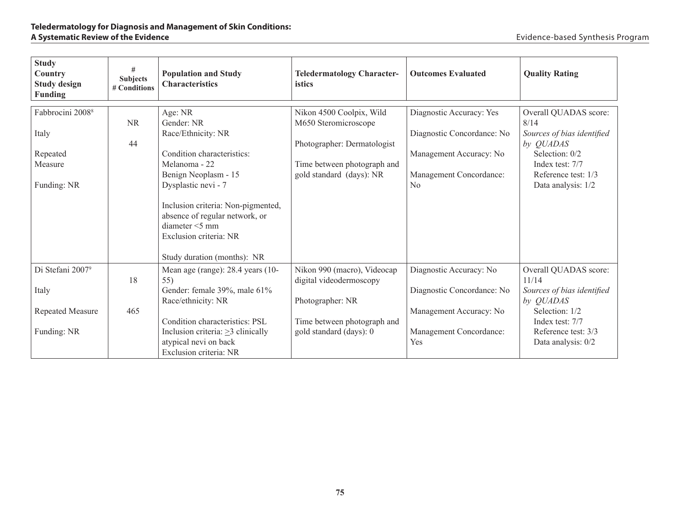#### **Teledermatology for Diagnosis and Management of Skin Conditions: A Systematic Review of the Evidence**

| <b>Study</b><br><b>Country</b><br><b>Study design</b><br><b>Funding</b>         | #<br><b>Subjects</b><br># Conditions | <b>Population and Study</b><br><b>Characteristics</b>                                                                                                                                                                                                         | <b>Teledermatology Character-</b><br>istics                                                                                                | <b>Outcomes Evaluated</b>                                                                                                      | <b>Quality Rating</b>                                                                                                                                       |
|---------------------------------------------------------------------------------|--------------------------------------|---------------------------------------------------------------------------------------------------------------------------------------------------------------------------------------------------------------------------------------------------------------|--------------------------------------------------------------------------------------------------------------------------------------------|--------------------------------------------------------------------------------------------------------------------------------|-------------------------------------------------------------------------------------------------------------------------------------------------------------|
| Fabbrocini 2008 <sup>8</sup><br>Italy<br>Repeated<br>Measure<br>Funding: NR     | <b>NR</b><br>44                      | Age: NR<br>Gender: NR<br>Race/Ethnicity: NR<br>Condition characteristics:<br>Melanoma - 22<br>Benign Neoplasm - 15<br>Dysplastic nevi - 7<br>Inclusion criteria: Non-pigmented,<br>absence of regular network, or<br>diameter <5 mm<br>Exclusion criteria: NR | Nikon 4500 Coolpix, Wild<br>M650 Steromicroscope<br>Photographer: Dermatologist<br>Time between photograph and<br>gold standard (days): NR | Diagnostic Accuracy: Yes<br>Diagnostic Concordance: No<br>Management Accuracy: No<br>Management Concordance:<br>N <sub>0</sub> | Overall QUADAS score:<br>8/14<br>Sources of bias identified<br>by QUADAS<br>Selection: 0/2<br>Index test: 7/7<br>Reference test: 1/3<br>Data analysis: 1/2  |
| Di Stefani 2007 <sup>9</sup><br>Italy<br><b>Repeated Measure</b><br>Funding: NR | 18<br>465                            | Study duration (months): NR<br>Mean age (range): 28.4 years (10-<br>55)<br>Gender: female 39%, male 61%<br>Race/ethnicity: NR<br>Condition characteristics: PSL<br>Inclusion criteria: $\geq$ 3 clinically<br>atypical nevi on back<br>Exclusion criteria: NR | Nikon 990 (macro), Videocap<br>digital videodermoscopy<br>Photographer: NR<br>Time between photograph and<br>gold standard (days): 0       | Diagnostic Accuracy: No<br>Diagnostic Concordance: No<br>Management Accuracy: No<br>Management Concordance:<br>Yes             | Overall QUADAS score:<br>11/14<br>Sources of bias identified<br>by QUADAS<br>Selection: 1/2<br>Index test: 7/7<br>Reference test: 3/3<br>Data analysis: 0/2 |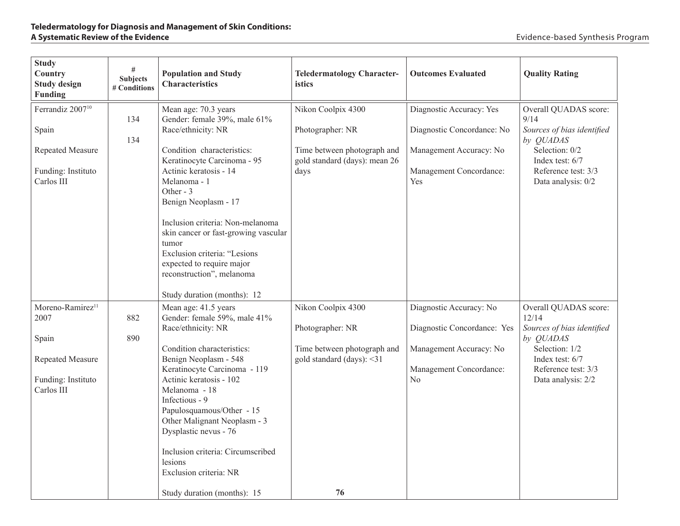| <b>Study</b><br>Country<br><b>Study design</b><br>Funding                                             | #<br><b>Subjects</b><br># Conditions | <b>Population and Study</b><br><b>Characteristics</b>                                                                                                                                                                                                                                                                                                                                                                                | <b>Teledermatology Character-</b><br><i>istics</i>                                                             | <b>Outcomes Evaluated</b>                                                                                           | <b>Quality Rating</b>                                                                                                                                       |
|-------------------------------------------------------------------------------------------------------|--------------------------------------|--------------------------------------------------------------------------------------------------------------------------------------------------------------------------------------------------------------------------------------------------------------------------------------------------------------------------------------------------------------------------------------------------------------------------------------|----------------------------------------------------------------------------------------------------------------|---------------------------------------------------------------------------------------------------------------------|-------------------------------------------------------------------------------------------------------------------------------------------------------------|
| Ferrandiz 2007 <sup>10</sup><br>Spain<br>Repeated Measure<br>Funding: Instituto<br>Carlos III         | 134<br>134                           | Mean age: 70.3 years<br>Gender: female 39%, male 61%<br>Race/ethnicity: NR<br>Condition characteristics:<br>Keratinocyte Carcinoma - 95<br>Actinic keratosis - 14<br>Melanoma - 1<br>Other - 3<br>Benign Neoplasm - 17<br>Inclusion criteria: Non-melanoma<br>skin cancer or fast-growing vascular<br>tumor<br>Exclusion criteria: "Lesions<br>expected to require major<br>reconstruction", melanoma<br>Study duration (months): 12 | Nikon Coolpix 4300<br>Photographer: NR<br>Time between photograph and<br>gold standard (days): mean 26<br>days | Diagnostic Accuracy: Yes<br>Diagnostic Concordance: No<br>Management Accuracy: No<br>Management Concordance:<br>Yes | Overall QUADAS score:<br>9/14<br>Sources of bias identified<br>by QUADAS<br>Selection: 0/2<br>Index test: 6/7<br>Reference test: 3/3<br>Data analysis: 0/2  |
| Moreno-Ramirez <sup>11</sup><br>2007<br>Spain<br>Repeated Measure<br>Funding: Instituto<br>Carlos III | 882<br>890                           | Mean age: 41.5 years<br>Gender: female 59%, male 41%<br>Race/ethnicity: NR<br>Condition characteristics:<br>Benign Neoplasm - 548<br>Keratinocyte Carcinoma - 119<br>Actinic keratosis - 102<br>Melanoma - 18<br>Infectious - 9<br>Papulosquamous/Other - 15<br>Other Malignant Neoplasm - 3<br>Dysplastic nevus - 76<br>Inclusion criteria: Circumscribed<br>lesions<br>Exclusion criteria: NR<br>Study duration (months): 15       | Nikon Coolpix 4300<br>Photographer: NR<br>Time between photograph and<br>gold standard (days): <31<br>76       | Diagnostic Accuracy: No<br>Diagnostic Concordance: Yes<br>Management Accuracy: No<br>Management Concordance:<br>No  | Overall QUADAS score:<br>12/14<br>Sources of bias identified<br>by QUADAS<br>Selection: 1/2<br>Index test: 6/7<br>Reference test: 3/3<br>Data analysis: 2/2 |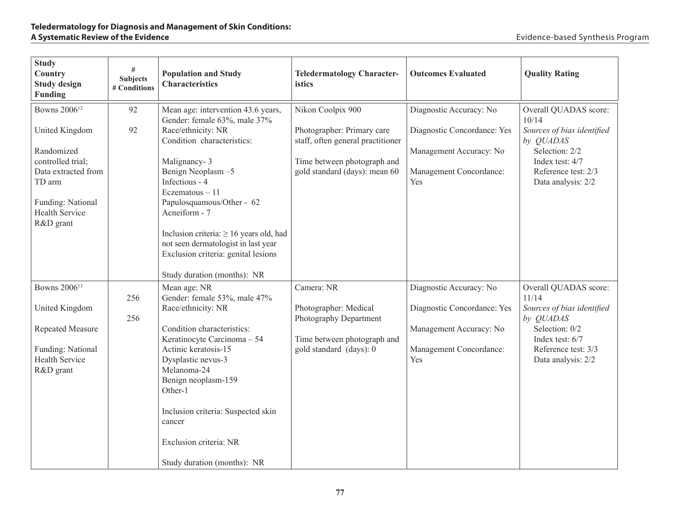| <b>Study</b><br><b>Country</b><br><b>Study design</b><br><b>Funding</b>                                                                       | #<br><b>Subjects</b><br># Conditions | <b>Population and Study</b><br><b>Characteristics</b>                                                                                                                                                                                                                                                                                   | <b>Teledermatology Character-</b><br>istics                                                                                     | <b>Outcomes Evaluated</b>                                                                                           | <b>Quality Rating</b>                                                                                                                                       |
|-----------------------------------------------------------------------------------------------------------------------------------------------|--------------------------------------|-----------------------------------------------------------------------------------------------------------------------------------------------------------------------------------------------------------------------------------------------------------------------------------------------------------------------------------------|---------------------------------------------------------------------------------------------------------------------------------|---------------------------------------------------------------------------------------------------------------------|-------------------------------------------------------------------------------------------------------------------------------------------------------------|
| Bowns 2006 <sup>12</sup>                                                                                                                      | 92                                   | Mean age: intervention 43.6 years,<br>Gender: female 63%, male 37%                                                                                                                                                                                                                                                                      | Nikon Coolpix 900                                                                                                               | Diagnostic Accuracy: No                                                                                             | Overall QUADAS score:<br>10/14                                                                                                                              |
| United Kingdom<br>Randomized<br>controlled trial;<br>Data extracted from<br>TD arm<br>Funding: National<br><b>Health Service</b><br>R&D grant | 92                                   | Race/ethnicity: NR<br>Condition characteristics:<br>Malignancy-3<br>Benign Neoplasm-5<br>Infectious - 4<br>Eczematous - 11<br>Papulosquamous/Other - 62<br>Acneiform - 7<br>Inclusion criteria: $\geq 16$ years old, had<br>not seen dermatologist in last year<br>Exclusion criteria: genital lesions<br>Study duration (months): NR   | Photographer: Primary care<br>staff, often general practitioner<br>Time between photograph and<br>gold standard (days): mean 60 | Diagnostic Concordance: Yes<br>Management Accuracy: No<br>Management Concordance:<br>Yes                            | Sources of bias identified<br>by QUADAS<br>Selection: 2/2<br>Index test: 4/7<br>Reference test: 2/3<br>Data analysis: 2/2                                   |
| Bowns 2006 <sup>13</sup><br>United Kingdom<br>Repeated Measure<br>Funding: National<br><b>Health Service</b><br>R&D grant                     | 256<br>256                           | Mean age: NR<br>Gender: female 53%, male 47%<br>Race/ethnicity: NR<br>Condition characteristics:<br>Keratinocyte Carcinoma - 54<br>Actinic keratosis-15<br>Dysplastic nevus-3<br>Melanoma-24<br>Benign neoplasm-159<br>Other-1<br>Inclusion criteria: Suspected skin<br>cancer<br>Exclusion criteria: NR<br>Study duration (months): NR | Camera: NR<br>Photographer: Medical<br>Photography Department<br>Time between photograph and<br>gold standard (days): 0         | Diagnostic Accuracy: No<br>Diagnostic Concordance: Yes<br>Management Accuracy: No<br>Management Concordance:<br>Yes | Overall QUADAS score:<br>11/14<br>Sources of bias identified<br>by QUADAS<br>Selection: 0/2<br>Index test: 6/7<br>Reference test: 3/3<br>Data analysis: 2/2 |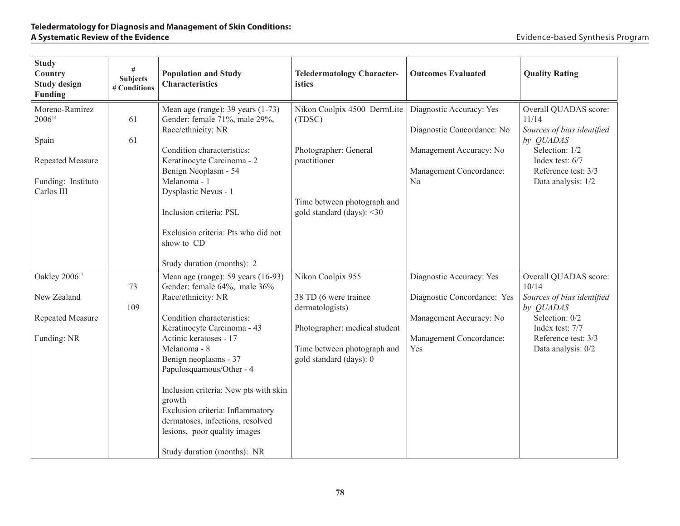| <b>Study</b><br>Country<br><b>Study design</b><br>Funding                                             | #<br><b>Subjects</b><br># Conditions | <b>Population and Study</b><br><b>Characteristics</b>                                                                                                                                                                                                                                                                                                                                                                                            | <b>Teledermatology Character-</b><br>istics                                                                                                              | <b>Outcomes Evaluated</b>                                                                                            | <b>Quality Rating</b>                                                                                                                                              |
|-------------------------------------------------------------------------------------------------------|--------------------------------------|--------------------------------------------------------------------------------------------------------------------------------------------------------------------------------------------------------------------------------------------------------------------------------------------------------------------------------------------------------------------------------------------------------------------------------------------------|----------------------------------------------------------------------------------------------------------------------------------------------------------|----------------------------------------------------------------------------------------------------------------------|--------------------------------------------------------------------------------------------------------------------------------------------------------------------|
| Moreno-Ramirez<br>2006 <sup>14</sup><br>Spain<br>Repeated Measure<br>Funding: Instituto<br>Carlos III | 61<br>61                             | Mean age (range): 39 years (1-73)<br>Gender: female 71%, male 29%,<br>Race/ethnicity: NR<br>Condition characteristics:<br>Keratinocyte Carcinoma - 2<br>Benign Neoplasm - 54<br>Melanoma - 1<br>Dysplastic Nevus - 1<br>Inclusion criteria: PSL<br>Exclusion criteria: Pts who did not<br>show to CD<br>Study duration (months): 2                                                                                                               | Nikon Coolpix 4500 DermLite<br>(TDSC)<br>Photographer: General<br>practitioner<br>Time between photograph and<br>gold standard (days): <30               | Diagnostic Accuracy: Yes<br>Diagnostic Concordance: No<br>Management Accuracy: No<br>Management Concordance:<br>No   | Overall QUADAS score:<br>11/14<br>Sources of bias identified<br>by QUADAS<br>Selection: 1/2<br>Index test: 6/7<br>Reference test: 3/3<br>Data analysis: 1/2        |
| Oakley 2006 <sup>15</sup><br>New Zealand<br>Repeated Measure<br>Funding: NR                           | 73<br>109                            | Mean age (range): $59$ years (16-93)<br>Gender: female 64%, male 36%<br>Race/ethnicity: NR<br>Condition characteristics:<br>Keratinocyte Carcinoma - 43<br>Actinic keratoses - 17<br>Melanoma - 8<br>Benign neoplasms - 37<br>Papulosquamous/Other - 4<br>Inclusion criteria: New pts with skin<br>growth<br>Exclusion criteria: Inflammatory<br>dermatoses, infections, resolved<br>lesions, poor quality images<br>Study duration (months): NR | Nikon Coolpix 955<br>38 TD (6 were trainee<br>dermatologists)<br>Photographer: medical student<br>Time between photograph and<br>gold standard (days): 0 | Diagnostic Accuracy: Yes<br>Diagnostic Concordance: Yes<br>Management Accuracy: No<br>Management Concordance:<br>Yes | Overall QUADAS score:<br>10/14<br>Sources of bias identified<br>by <i>QUADAS</i><br>Selection: 0/2<br>Index test: 7/7<br>Reference test: 3/3<br>Data analysis: 0/2 |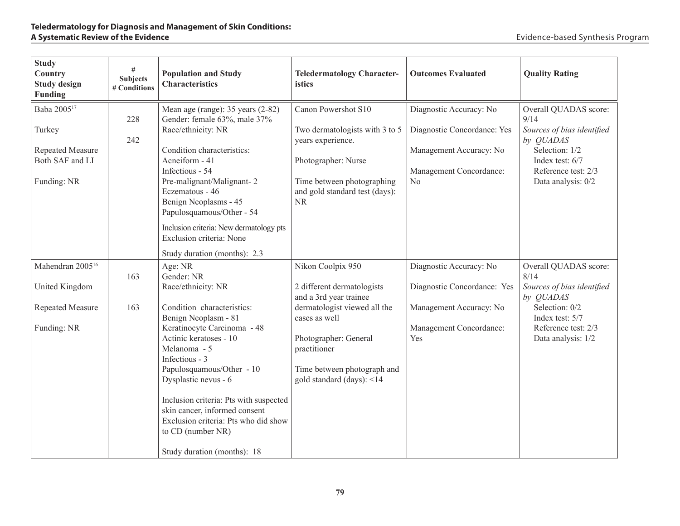| <b>Study</b><br>Country<br><b>Study design</b><br>Funding                                      | #<br><b>Subjects</b><br># Conditions | <b>Population and Study</b><br><b>Characteristics</b>                                                                                                                                                                                                                                                                                                                                                                    | <b>Teledermatology Character-</b><br>istics                                                                                                                                                                                     | <b>Outcomes Evaluated</b>                                                                                                      | <b>Quality Rating</b>                                                                                                                                      |
|------------------------------------------------------------------------------------------------|--------------------------------------|--------------------------------------------------------------------------------------------------------------------------------------------------------------------------------------------------------------------------------------------------------------------------------------------------------------------------------------------------------------------------------------------------------------------------|---------------------------------------------------------------------------------------------------------------------------------------------------------------------------------------------------------------------------------|--------------------------------------------------------------------------------------------------------------------------------|------------------------------------------------------------------------------------------------------------------------------------------------------------|
| Baba 2005 <sup>17</sup><br>Turkey<br><b>Repeated Measure</b><br>Both SAF and LI<br>Funding: NR | 228<br>242                           | Mean age (range): 35 years (2-82)<br>Gender: female 63%, male 37%<br>Race/ethnicity: NR<br>Condition characteristics:<br>Acneiform - 41<br>Infectious - 54<br>Pre-malignant/Malignant-2<br>Eczematous - 46<br>Benign Neoplasms - 45<br>Papulosquamous/Other - 54<br>Inclusion criteria: New dermatology pts<br>Exclusion criteria: None<br>Study duration (months): 2.3                                                  | Canon Powershot S10<br>Two dermatologists with 3 to 5<br>years experience.<br>Photographer: Nurse<br>Time between photographing<br>and gold standard test (days):<br><b>NR</b>                                                  | Diagnostic Accuracy: No<br>Diagnostic Concordance: Yes<br>Management Accuracy: No<br>Management Concordance:<br>N <sub>0</sub> | Overall QUADAS score:<br>9/14<br>Sources of bias identified<br>by QUADAS<br>Selection: 1/2<br>Index test: 6/7<br>Reference test: 2/3<br>Data analysis: 0/2 |
| Mahendran 2005 <sup>16</sup><br>United Kingdom<br>Repeated Measure<br>Funding: NR              | 163<br>163                           | Age: NR<br>Gender: NR<br>Race/ethnicity: NR<br>Condition characteristics:<br>Benign Neoplasm - 81<br>Keratinocyte Carcinoma - 48<br>Actinic keratoses - 10<br>Melanoma - 5<br>Infectious - 3<br>Papulosquamous/Other - 10<br>Dysplastic nevus - 6<br>Inclusion criteria: Pts with suspected<br>skin cancer, informed consent<br>Exclusion criteria: Pts who did show<br>to CD (number NR)<br>Study duration (months): 18 | Nikon Coolpix 950<br>2 different dermatologists<br>and a 3rd year trainee<br>dermatologist viewed all the<br>cases as well<br>Photographer: General<br>practitioner<br>Time between photograph and<br>gold standard (days): <14 | Diagnostic Accuracy: No<br>Diagnostic Concordance: Yes<br>Management Accuracy: No<br>Management Concordance:<br>Yes            | Overall QUADAS score:<br>8/14<br>Sources of bias identified<br>by QUADAS<br>Selection: 0/2<br>Index test: 5/7<br>Reference test: 2/3<br>Data analysis: 1/2 |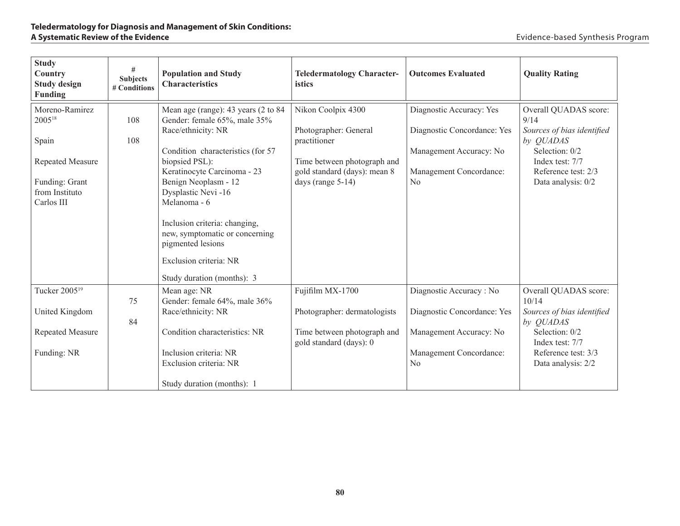| <b>Study</b><br>Country<br><b>Study design</b><br><b>Funding</b>          | #<br><b>Subjects</b><br># Conditions | <b>Population and Study</b><br><b>Characteristics</b>                                                                                                                                                                                                       | <b>Teledermatology Character-</b><br>istics                                      | <b>Outcomes Evaluated</b>                                                          | <b>Quality Rating</b>                                                                      |
|---------------------------------------------------------------------------|--------------------------------------|-------------------------------------------------------------------------------------------------------------------------------------------------------------------------------------------------------------------------------------------------------------|----------------------------------------------------------------------------------|------------------------------------------------------------------------------------|--------------------------------------------------------------------------------------------|
| Moreno-Ramirez<br>200518<br>Spain                                         | 108<br>108                           | Mean age (range): 43 years (2 to 84<br>Gender: female 65%, male 35%<br>Race/ethnicity: NR<br>Condition characteristics (for 57                                                                                                                              | Nikon Coolpix 4300<br>Photographer: General<br>practitioner                      | Diagnostic Accuracy: Yes<br>Diagnostic Concordance: Yes<br>Management Accuracy: No | Overall QUADAS score:<br>9/14<br>Sources of bias identified<br>by QUADAS<br>Selection: 0/2 |
| <b>Repeated Measure</b><br>Funding: Grant<br>from Instituto<br>Carlos III |                                      | biopsied PSL):<br>Keratinocyte Carcinoma - 23<br>Benign Neoplasm - 12<br>Dysplastic Nevi-16<br>Melanoma - 6<br>Inclusion criteria: changing,<br>new, symptomatic or concerning<br>pigmented lesions<br>Exclusion criteria: NR<br>Study duration (months): 3 | Time between photograph and<br>gold standard (days): mean 8<br>days (range 5-14) | Management Concordance:<br>N <sub>0</sub>                                          | Index test: 7/7<br>Reference test: 2/3<br>Data analysis: 0/2                               |
| Tucker 2005 <sup>19</sup><br>United Kingdom                               | 75<br>84                             | Mean age: NR<br>Gender: female 64%, male 36%<br>Race/ethnicity: NR                                                                                                                                                                                          | Fujifilm MX-1700<br>Photographer: dermatologists                                 | Diagnostic Accuracy: No<br>Diagnostic Concordance: Yes                             | Overall QUADAS score:<br>10/14<br>Sources of bias identified<br>by <i>QUADAS</i>           |
| <b>Repeated Measure</b><br>Funding: NR                                    |                                      | Condition characteristics: NR<br>Inclusion criteria: NR<br>Exclusion criteria: NR<br>Study duration (months): 1                                                                                                                                             | Time between photograph and<br>gold standard (days): 0                           | Management Accuracy: No<br>Management Concordance:<br>N <sub>0</sub>               | Selection: 0/2<br>Index test: 7/7<br>Reference test: 3/3<br>Data analysis: 2/2             |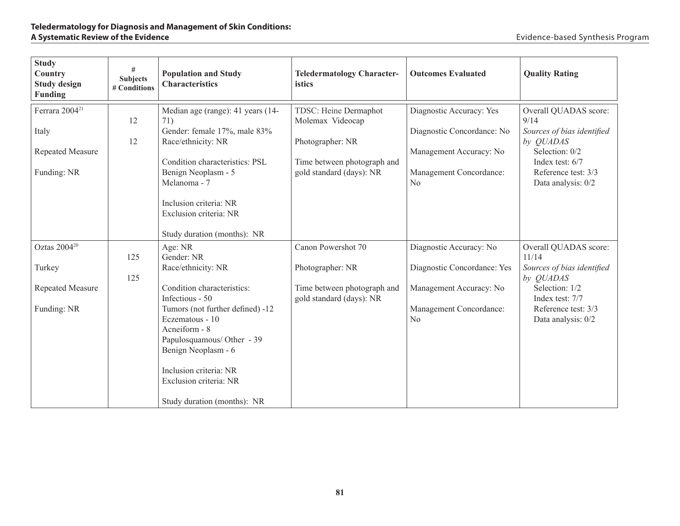| <b>Study</b><br>Country<br><b>Study design</b><br><b>Funding</b> | #<br><b>Subjects</b><br># Conditions | <b>Population and Study</b><br><b>Characteristics</b>                                                                     | <b>Teledermatology Character-</b><br>istics             | <b>Outcomes Evaluated</b>                              | <b>Quality Rating</b>                                       |
|------------------------------------------------------------------|--------------------------------------|---------------------------------------------------------------------------------------------------------------------------|---------------------------------------------------------|--------------------------------------------------------|-------------------------------------------------------------|
| Ferrara 2004 <sup>21</sup><br>Italy                              | 12                                   | Median age (range): 41 years (14-<br>71)<br>Gender: female 17%, male 83%                                                  | TDSC: Heine Dermaphot<br>Molemax Videocap               | Diagnostic Accuracy: Yes<br>Diagnostic Concordance: No | Overall QUADAS score:<br>9/14<br>Sources of bias identified |
|                                                                  | 12                                   | Race/ethnicity: NR                                                                                                        | Photographer: NR                                        |                                                        | by QUADAS                                                   |
| <b>Repeated Measure</b>                                          |                                      | Condition characteristics: PSL                                                                                            | Time between photograph and                             | Management Accuracy: No                                | Selection: 0/2<br>Index test: 6/7                           |
| Funding: NR                                                      |                                      | Benign Neoplasm - 5<br>Melanoma - 7                                                                                       | gold standard (days): NR                                | Management Concordance:<br>No                          | Reference test: 3/3<br>Data analysis: 0/2                   |
|                                                                  |                                      | Inclusion criteria: NR<br>Exclusion criteria: NR<br>Study duration (months): NR                                           |                                                         |                                                        |                                                             |
| Oztas 2004 <sup>20</sup>                                         |                                      | Age: NR                                                                                                                   | Canon Powershot 70                                      | Diagnostic Accuracy: No                                | Overall QUADAS score:                                       |
|                                                                  | 125                                  | Gender: NR                                                                                                                |                                                         |                                                        | 11/14                                                       |
| Turkey                                                           | 125                                  | Race/ethnicity: NR                                                                                                        | Photographer: NR                                        | Diagnostic Concordance: Yes                            | Sources of bias identified<br>by QUADAS                     |
| Repeated Measure                                                 |                                      | Condition characteristics:<br>Infectious - 50                                                                             | Time between photograph and<br>gold standard (days): NR | Management Accuracy: No                                | Selection: 1/2<br>Index test: 7/7                           |
| Funding: NR                                                      |                                      | Tumors (not further defined) -12<br>Eczematous - 10<br>Acneiform - 8<br>Papulosquamous/ Other - 39<br>Benign Neoplasm - 6 |                                                         | Management Concordance:<br>N <sub>0</sub>              | Reference test: 3/3<br>Data analysis: 0/2                   |
|                                                                  |                                      | Inclusion criteria: NR<br>Exclusion criteria: NR                                                                          |                                                         |                                                        |                                                             |
|                                                                  |                                      | Study duration (months): NR                                                                                               |                                                         |                                                        |                                                             |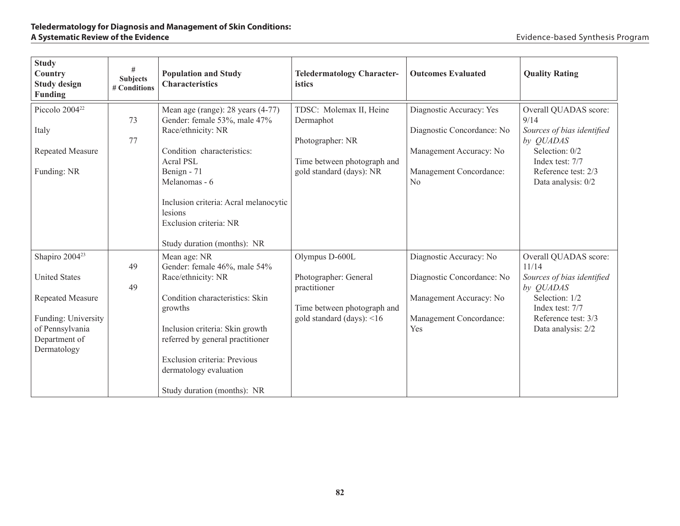| <b>Study</b><br>Country<br><b>Study design</b><br><b>Funding</b>                                  | #<br><b>Subjects</b><br># Conditions | <b>Population and Study</b><br><b>Characteristics</b>                                                                                                                                                                                                                           | <b>Teledermatology Character-</b><br>istics                                                                         | <b>Outcomes Evaluated</b>                                                                                          | <b>Quality Rating</b>                                                                                                                                      |
|---------------------------------------------------------------------------------------------------|--------------------------------------|---------------------------------------------------------------------------------------------------------------------------------------------------------------------------------------------------------------------------------------------------------------------------------|---------------------------------------------------------------------------------------------------------------------|--------------------------------------------------------------------------------------------------------------------|------------------------------------------------------------------------------------------------------------------------------------------------------------|
| Piccolo 2004 <sup>22</sup><br>Italy<br>Repeated Measure<br>Funding: NR                            | 73<br>77                             | Mean age (range): 28 years (4-77)<br>Gender: female 53%, male 47%<br>Race/ethnicity: NR<br>Condition characteristics:<br>Acral PSL<br>Benign - 71<br>Melanomas - 6<br>Inclusion criteria: Acral melanocytic<br>lesions<br>Exclusion criteria: NR<br>Study duration (months): NR | TDSC: Molemax II, Heine<br>Dermaphot<br>Photographer: NR<br>Time between photograph and<br>gold standard (days): NR | Diagnostic Accuracy: Yes<br>Diagnostic Concordance: No<br>Management Accuracy: No<br>Management Concordance:<br>No | Overall QUADAS score:<br>9/14<br>Sources of bias identified<br>by QUADAS<br>Selection: 0/2<br>Index test: 7/7<br>Reference test: 2/3<br>Data analysis: 0/2 |
| Shapiro 2004 <sup>23</sup>                                                                        |                                      | Mean age: NR                                                                                                                                                                                                                                                                    | Olympus D-600L                                                                                                      | Diagnostic Accuracy: No                                                                                            | Overall QUADAS score:                                                                                                                                      |
| <b>United States</b>                                                                              | 49                                   | Gender: female 46%, male 54%                                                                                                                                                                                                                                                    | Photographer: General                                                                                               |                                                                                                                    | 11/14                                                                                                                                                      |
|                                                                                                   | 49                                   | Race/ethnicity: NR                                                                                                                                                                                                                                                              | practitioner                                                                                                        | Diagnostic Concordance: No                                                                                         | Sources of bias identified<br>by QUADAS                                                                                                                    |
| <b>Repeated Measure</b><br>Funding: University<br>of Pennsylvania<br>Department of<br>Dermatology |                                      | Condition characteristics: Skin<br>growths<br>Inclusion criteria: Skin growth<br>referred by general practitioner<br>Exclusion criteria: Previous<br>dermatology evaluation<br>Study duration (months): NR                                                                      | Time between photograph and<br>gold standard (days): $\leq 16$                                                      | Management Accuracy: No<br>Management Concordance:<br>Yes                                                          | Selection: 1/2<br>Index test: 7/7<br>Reference test: 3/3<br>Data analysis: 2/2                                                                             |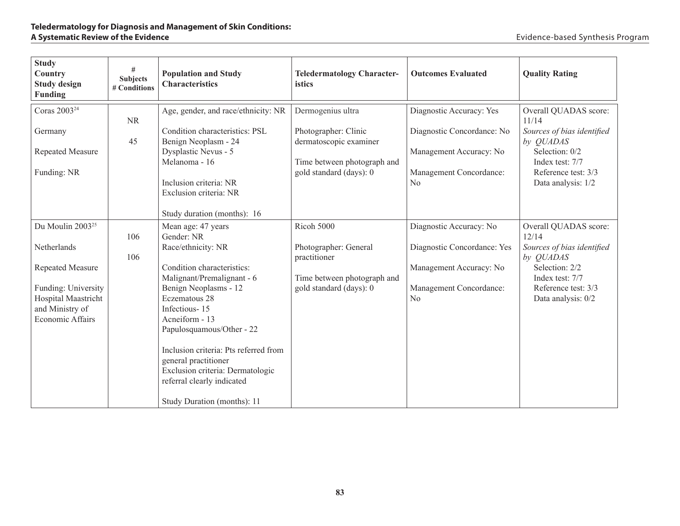| <b>Study</b><br>Country<br><b>Study design</b><br><b>Funding</b>                         | #<br><b>Subjects</b><br># Conditions | <b>Population and Study</b><br><b>Characteristics</b>                                                                                                                                                                                                                    | <b>Teledermatology Character-</b><br>istics    | <b>Outcomes Evaluated</b>                 | <b>Quality Rating</b>                          |
|------------------------------------------------------------------------------------------|--------------------------------------|--------------------------------------------------------------------------------------------------------------------------------------------------------------------------------------------------------------------------------------------------------------------------|------------------------------------------------|-------------------------------------------|------------------------------------------------|
| Coras 2003 <sup>24</sup>                                                                 | <b>NR</b>                            | Age, gender, and race/ethnicity: NR                                                                                                                                                                                                                                      | Dermogenius ultra                              | Diagnostic Accuracy: Yes                  | Overall QUADAS score:<br>11/14                 |
| Germany                                                                                  | 45                                   | Condition characteristics: PSL<br>Benign Neoplasm - 24                                                                                                                                                                                                                   | Photographer: Clinic<br>dermatoscopic examiner | Diagnostic Concordance: No                | Sources of bias identified<br>by <i>QUADAS</i> |
| <b>Repeated Measure</b>                                                                  |                                      | Dysplastic Nevus - 5<br>Melanoma - 16                                                                                                                                                                                                                                    | Time between photograph and                    | Management Accuracy: No                   | Selection: 0/2<br>Index test: 7/7              |
| Funding: NR                                                                              |                                      | Inclusion criteria: NR<br>Exclusion criteria: NR<br>Study duration (months): 16                                                                                                                                                                                          | gold standard (days): 0                        | Management Concordance:<br>N <sub>o</sub> | Reference test: 3/3<br>Data analysis: 1/2      |
| Du Moulin 2003 <sup>25</sup>                                                             | 106                                  | Mean age: 47 years<br>Gender: NR                                                                                                                                                                                                                                         | Ricoh 5000                                     | Diagnostic Accuracy: No                   | Overall QUADAS score:<br>12/14                 |
| Netherlands                                                                              | 106                                  | Race/ethnicity: NR                                                                                                                                                                                                                                                       | Photographer: General<br>practitioner          | Diagnostic Concordance: Yes               | Sources of bias identified<br>by QUADAS        |
| Repeated Measure                                                                         |                                      | Condition characteristics:<br>Malignant/Premalignant - 6                                                                                                                                                                                                                 | Time between photograph and                    | Management Accuracy: No                   | Selection: 2/2<br>Index test: 7/7              |
| Funding: University<br>Hospital Maastricht<br>and Ministry of<br><b>Economic Affairs</b> |                                      | Benign Neoplasms - 12<br>Eczematous 28<br>Infectious-15<br>Acneiform - 13<br>Papulosquamous/Other - 22<br>Inclusion criteria: Pts referred from<br>general practitioner<br>Exclusion criteria: Dermatologic<br>referral clearly indicated<br>Study Duration (months): 11 | gold standard (days): 0                        | Management Concordance:<br>N <sub>o</sub> | Reference test: 3/3<br>Data analysis: 0/2      |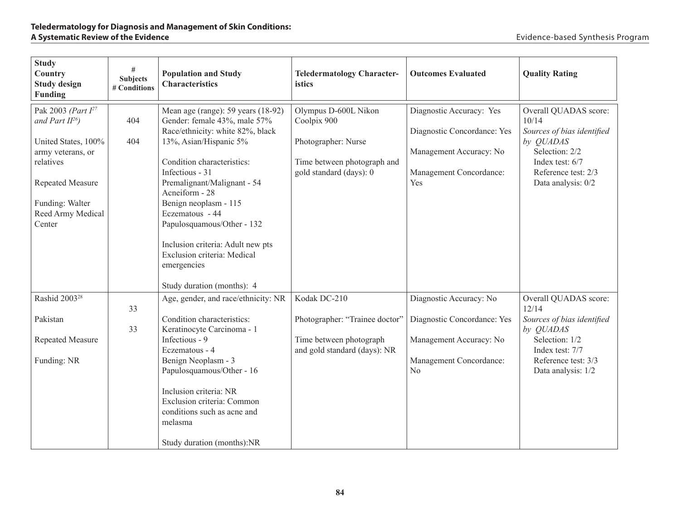| <b>Study</b><br>Country<br><b>Study design</b><br>Funding                                                                                                                      | #<br><b>Subjects</b><br># Conditions | <b>Population and Study</b><br><b>Characteristics</b>                                                                                                                                                                                                                                                                                                                                                                         | <b>Teledermatology Character-</b><br>istics                                                                          | <b>Outcomes Evaluated</b>                                                                                            | <b>Quality Rating</b>                                                                                                                                       |
|--------------------------------------------------------------------------------------------------------------------------------------------------------------------------------|--------------------------------------|-------------------------------------------------------------------------------------------------------------------------------------------------------------------------------------------------------------------------------------------------------------------------------------------------------------------------------------------------------------------------------------------------------------------------------|----------------------------------------------------------------------------------------------------------------------|----------------------------------------------------------------------------------------------------------------------|-------------------------------------------------------------------------------------------------------------------------------------------------------------|
| Pak 2003 (Part $I^{27}$<br>and Part $II^{26}$ )<br>United States, 100%<br>army veterans, or<br>relatives<br>Repeated Measure<br>Funding: Walter<br>Reed Army Medical<br>Center | 404<br>404                           | Mean age (range): 59 years (18-92)<br>Gender: female 43%, male 57%<br>Race/ethnicity: white 82%, black<br>13%, Asian/Hispanic 5%<br>Condition characteristics:<br>Infectious - 31<br>Premalignant/Malignant - 54<br>Acneiform - 28<br>Benign neoplasm - 115<br>Eczematous - 44<br>Papulosquamous/Other - 132<br>Inclusion criteria: Adult new pts<br>Exclusion criteria: Medical<br>emergencies<br>Study duration (months): 4 | Olympus D-600L Nikon<br>Coolpix 900<br>Photographer: Nurse<br>Time between photograph and<br>gold standard (days): 0 | Diagnostic Accuracy: Yes<br>Diagnostic Concordance: Yes<br>Management Accuracy: No<br>Management Concordance:<br>Yes | Overall QUADAS score:<br>10/14<br>Sources of bias identified<br>by QUADAS<br>Selection: 2/2<br>Index test: 6/7<br>Reference test: 2/3<br>Data analysis: 0/2 |
| Rashid 2003 <sup>28</sup>                                                                                                                                                      |                                      | Age, gender, and race/ethnicity: NR                                                                                                                                                                                                                                                                                                                                                                                           | Kodak DC-210                                                                                                         | Diagnostic Accuracy: No                                                                                              | Overall QUADAS score:                                                                                                                                       |
| Pakistan<br>Repeated Measure<br>Funding: NR                                                                                                                                    | 33<br>33                             | Condition characteristics:<br>Keratinocyte Carcinoma - 1<br>Infectious - 9<br>Eczematous - 4<br>Benign Neoplasm - 3<br>Papulosquamous/Other - 16<br>Inclusion criteria: NR<br>Exclusion criteria: Common<br>conditions such as acne and<br>melasma<br>Study duration (months):NR                                                                                                                                              | Photographer: "Trainee doctor"<br>Time between photograph<br>and gold standard (days): NR                            | Diagnostic Concordance: Yes<br>Management Accuracy: No<br>Management Concordance:<br>N <sub>0</sub>                  | 12/14<br>Sources of bias identified<br>by QUADAS<br>Selection: 1/2<br>Index test: 7/7<br>Reference test: 3/3<br>Data analysis: 1/2                          |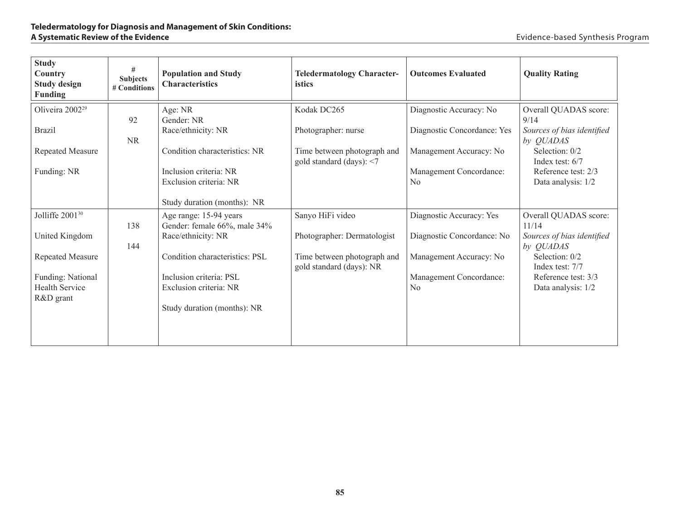| <b>Study</b><br>Country<br><b>Study design</b><br><b>Funding</b> | #<br><b>Subjects</b><br># Conditions | <b>Population and Study</b><br><b>Characteristics</b>                            | <b>Teledermatology Character-</b><br>istics                | <b>Outcomes Evaluated</b>                 | <b>Quality Rating</b>                          |
|------------------------------------------------------------------|--------------------------------------|----------------------------------------------------------------------------------|------------------------------------------------------------|-------------------------------------------|------------------------------------------------|
| Oliveira 2002 <sup>29</sup>                                      | 92                                   | Age: NR<br>Gender: NR                                                            | Kodak DC265                                                | Diagnostic Accuracy: No                   | Overall QUADAS score:<br>9/14                  |
| <b>Brazil</b>                                                    | <b>NR</b>                            | Race/ethnicity: NR                                                               | Photographer: nurse                                        | Diagnostic Concordance: Yes               | Sources of bias identified<br>by <i>QUADAS</i> |
| Repeated Measure                                                 |                                      | Condition characteristics: NR                                                    | Time between photograph and<br>gold standard (days): $<$ 7 | Management Accuracy: No                   | Selection: 0/2<br>Index test: $6/7$            |
| Funding: NR                                                      |                                      | Inclusion criteria: NR<br>Exclusion criteria: NR<br>Study duration (months): NR  |                                                            | Management Concordance:<br>N <sub>0</sub> | Reference test: 2/3<br>Data analysis: 1/2      |
| Jolliffe 2001 <sup>30</sup>                                      | 138                                  | Age range: 15-94 years<br>Gender: female 66%, male 34%                           | Sanyo HiFi video                                           | Diagnostic Accuracy: Yes                  | Overall QUADAS score:<br>11/14                 |
| United Kingdom                                                   | 144                                  | Race/ethnicity: NR                                                               | Photographer: Dermatologist                                | Diagnostic Concordance: No                | Sources of bias identified<br>by QUADAS        |
| Repeated Measure                                                 |                                      | Condition characteristics: PSL                                                   | Time between photograph and<br>gold standard (days): NR    | Management Accuracy: No                   | Selection: 0/2<br>Index test: 7/7              |
| Funding: National<br><b>Health Service</b><br>R&D grant          |                                      | Inclusion criteria: PSL<br>Exclusion criteria: NR<br>Study duration (months): NR |                                                            | Management Concordance:<br>N <sub>0</sub> | Reference test: 3/3<br>Data analysis: 1/2      |
|                                                                  |                                      |                                                                                  |                                                            |                                           |                                                |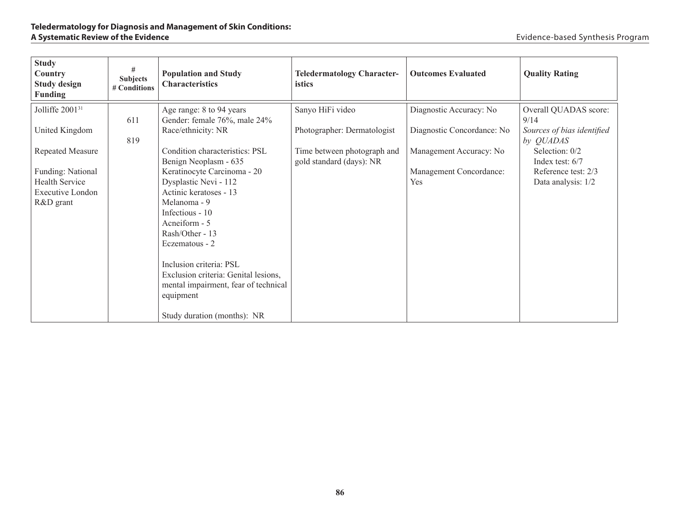| <b>Study</b><br>Country<br><b>Study design</b><br><b>Funding</b> | #<br><b>Subjects</b><br># Conditions | <b>Population and Study</b><br><b>Characteristics</b>                                                                | <b>Teledermatology Character-</b><br><i>istics</i>      | <b>Outcomes Evaluated</b>                          | <b>Quality Rating</b>                                      |
|------------------------------------------------------------------|--------------------------------------|----------------------------------------------------------------------------------------------------------------------|---------------------------------------------------------|----------------------------------------------------|------------------------------------------------------------|
| Jolliffe 2001 <sup>31</sup>                                      | 611                                  | Age range: 8 to 94 years<br>Gender: female 76%, male 24%                                                             | Sanyo HiFi video                                        | Diagnostic Accuracy: No                            | Overall QUADAS score:<br>9/14                              |
| United Kingdom                                                   | 819                                  | Race/ethnicity: NR                                                                                                   | Photographer: Dermatologist                             | Diagnostic Concordance: No                         | Sources of bias identified<br>by <i>QUADAS</i>             |
| Repeated Measure<br>Funding: National                            |                                      | Condition characteristics: PSL<br>Benign Neoplasm - 635<br>Keratinocyte Carcinoma - 20                               | Time between photograph and<br>gold standard (days): NR | Management Accuracy: No<br>Management Concordance: | Selection: 0/2<br>Index test: $6/7$<br>Reference test: 2/3 |
| <b>Health Service</b><br>Executive London                        |                                      | Dysplastic Nevi - 112<br>Actinic keratoses - 13                                                                      |                                                         | Yes                                                | Data analysis: 1/2                                         |
| R&D grant                                                        |                                      | Melanoma - 9<br>Infectious - 10<br>Acneiform - 5                                                                     |                                                         |                                                    |                                                            |
|                                                                  |                                      | Rash/Other - 13<br>Eczematous - 2                                                                                    |                                                         |                                                    |                                                            |
|                                                                  |                                      | Inclusion criteria: PSL<br>Exclusion criteria: Genital lesions,<br>mental impairment, fear of technical<br>equipment |                                                         |                                                    |                                                            |
|                                                                  |                                      | Study duration (months): NR                                                                                          |                                                         |                                                    |                                                            |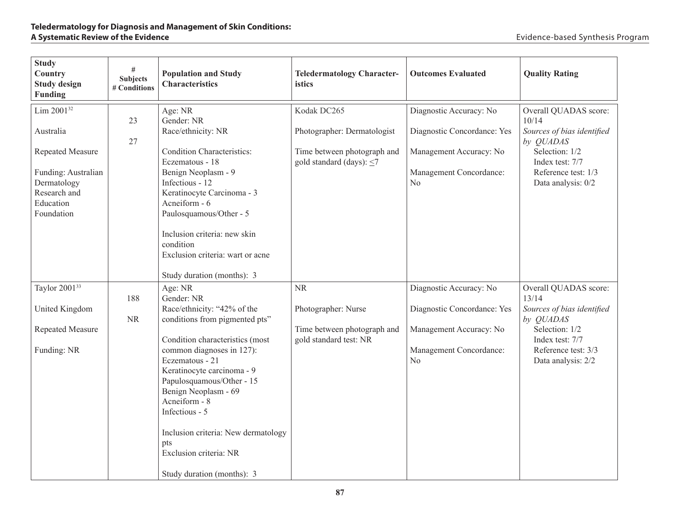| <b>Study</b><br>Country<br><b>Study design</b><br><b>Funding</b>                                                                         | $\#$<br><b>Subjects</b><br># Conditions | <b>Population and Study</b><br><b>Characteristics</b>                                                                                                                                                                                                                                                                                                                                                 | <b>Teledermatology Character-</b><br>istics                                                                 | <b>Outcomes Evaluated</b>                                                                                                      | <b>Quality Rating</b>                                                                                                                                       |
|------------------------------------------------------------------------------------------------------------------------------------------|-----------------------------------------|-------------------------------------------------------------------------------------------------------------------------------------------------------------------------------------------------------------------------------------------------------------------------------------------------------------------------------------------------------------------------------------------------------|-------------------------------------------------------------------------------------------------------------|--------------------------------------------------------------------------------------------------------------------------------|-------------------------------------------------------------------------------------------------------------------------------------------------------------|
| Lim 2001 <sup>32</sup><br>Australia<br>Repeated Measure<br>Funding: Australian<br>Dermatology<br>Research and<br>Education<br>Foundation | 23<br>27                                | Age: NR<br>Gender: NR<br>Race/ethnicity: NR<br><b>Condition Characteristics:</b><br>Eczematous - 18<br>Benign Neoplasm - 9<br>Infectious - 12<br>Keratinocyte Carcinoma - 3<br>Acneiform - 6<br>Paulosquamous/Other - 5<br>Inclusion criteria: new skin<br>condition<br>Exclusion criteria: wart or acne<br>Study duration (months): 3                                                                | Kodak DC265<br>Photographer: Dermatologist<br>Time between photograph and<br>gold standard (days): $\leq$ 7 | Diagnostic Accuracy: No<br>Diagnostic Concordance: Yes<br>Management Accuracy: No<br>Management Concordance:<br>No             | Overall QUADAS score:<br>10/14<br>Sources of bias identified<br>by QUADAS<br>Selection: 1/2<br>Index test: 7/7<br>Reference test: 1/3<br>Data analysis: 0/2 |
| Taylor 2001 <sup>33</sup><br>United Kingdom<br>Repeated Measure<br>Funding: NR                                                           | 188<br><b>NR</b>                        | Age: NR<br>Gender: NR<br>Race/ethnicity: "42% of the<br>conditions from pigmented pts"<br>Condition characteristics (most<br>common diagnoses in 127):<br>Eczematous - 21<br>Keratinocyte carcinoma - 9<br>Papulosquamous/Other - 15<br>Benign Neoplasm - 69<br>Acneiform - 8<br>Infectious - 5<br>Inclusion criteria: New dermatology<br>pts<br>Exclusion criteria: NR<br>Study duration (months): 3 | <b>NR</b><br>Photographer: Nurse<br>Time between photograph and<br>gold standard test: NR                   | Diagnostic Accuracy: No<br>Diagnostic Concordance: Yes<br>Management Accuracy: No<br>Management Concordance:<br>N <sub>0</sub> | Overall QUADAS score:<br>13/14<br>Sources of bias identified<br>by QUADAS<br>Selection: 1/2<br>Index test: 7/7<br>Reference test: 3/3<br>Data analysis: 2/2 |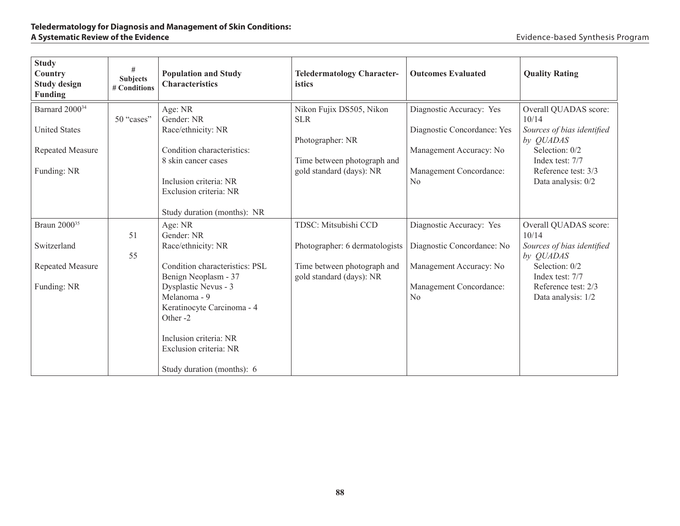| <b>Study</b><br>Country<br><b>Study design</b><br><b>Funding</b>                      | #<br><b>Subjects</b><br># Conditions | <b>Population and Study</b><br><b>Characteristics</b>                                            | <b>Teledermatology Character-</b><br>istics                                                                           | <b>Outcomes Evaluated</b>                                                                                     | <b>Quality Rating</b>                                                                                                                 |
|---------------------------------------------------------------------------------------|--------------------------------------|--------------------------------------------------------------------------------------------------|-----------------------------------------------------------------------------------------------------------------------|---------------------------------------------------------------------------------------------------------------|---------------------------------------------------------------------------------------------------------------------------------------|
| Barnard 2000 <sup>34</sup><br><b>United States</b><br>Repeated Measure<br>Funding: NR | 50 "cases"                           | Age: NR<br>Gender: NR<br>Race/ethnicity: NR<br>Condition characteristics:<br>8 skin cancer cases | Nikon Fujix DS505, Nikon<br><b>SLR</b><br>Photographer: NR<br>Time between photograph and<br>gold standard (days): NR | Diagnostic Accuracy: Yes<br>Diagnostic Concordance: Yes<br>Management Accuracy: No<br>Management Concordance: | Overall QUADAS score:<br>10/14<br>Sources of bias identified<br>by QUADAS<br>Selection: 0/2<br>Index test: 7/7<br>Reference test: 3/3 |
|                                                                                       |                                      | Inclusion criteria: NR<br>Exclusion criteria: NR<br>Study duration (months): NR                  |                                                                                                                       | N <sub>0</sub>                                                                                                | Data analysis: 0/2                                                                                                                    |
| Braun 2000 <sup>35</sup>                                                              | 51                                   | Age: NR<br>Gender: NR                                                                            | TDSC: Mitsubishi CCD                                                                                                  | Diagnostic Accuracy: Yes                                                                                      | Overall QUADAS score:<br>10/14                                                                                                        |
| Switzerland                                                                           | 55                                   | Race/ethnicity: NR                                                                               | Photographer: 6 dermatologists                                                                                        | Diagnostic Concordance: No                                                                                    | Sources of bias identified<br>by QUADAS                                                                                               |
| <b>Repeated Measure</b>                                                               |                                      | Condition characteristics: PSL<br>Benign Neoplasm - 37                                           | Time between photograph and<br>gold standard (days): NR                                                               | Management Accuracy: No                                                                                       | Selection: 0/2<br>Index test: 7/7                                                                                                     |
| Funding: NR                                                                           |                                      | Dysplastic Nevus - 3<br>Melanoma - 9<br>Keratinocyte Carcinoma - 4<br>Other -2                   |                                                                                                                       | Management Concordance:<br>N <sub>0</sub>                                                                     | Reference test: 2/3<br>Data analysis: 1/2                                                                                             |
|                                                                                       |                                      | Inclusion criteria: NR<br>Exclusion criteria: NR                                                 |                                                                                                                       |                                                                                                               |                                                                                                                                       |
|                                                                                       |                                      | Study duration (months): 6                                                                       |                                                                                                                       |                                                                                                               |                                                                                                                                       |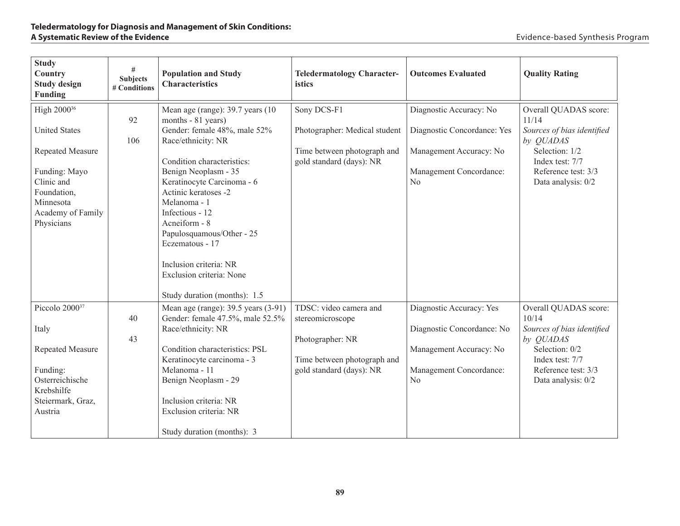| <b>Study</b><br>Country<br><b>Study design</b><br>Funding                                                                                                                | #<br><b>Subjects</b><br># Conditions | <b>Population and Study</b><br><b>Characteristics</b>                                                                                                                                                                                                                                                                                                                               | <b>Teledermatology Character-</b><br>istics                                                                               | <b>Outcomes Evaluated</b>                                                                                                      | <b>Quality Rating</b>                                                                                                                                       |
|--------------------------------------------------------------------------------------------------------------------------------------------------------------------------|--------------------------------------|-------------------------------------------------------------------------------------------------------------------------------------------------------------------------------------------------------------------------------------------------------------------------------------------------------------------------------------------------------------------------------------|---------------------------------------------------------------------------------------------------------------------------|--------------------------------------------------------------------------------------------------------------------------------|-------------------------------------------------------------------------------------------------------------------------------------------------------------|
| High 2000 <sup>36</sup><br><b>United States</b><br><b>Repeated Measure</b><br>Funding: Mayo<br>Clinic and<br>Foundation,<br>Minnesota<br>Academy of Family<br>Physicians | 92<br>106                            | Mean age (range): 39.7 years (10)<br>months - 81 years)<br>Gender: female 48%, male 52%<br>Race/ethnicity: NR<br>Condition characteristics:<br>Benign Neoplasm - 35<br>Keratinocyte Carcinoma - 6<br>Actinic keratoses -2<br>Melanoma - 1<br>Infectious - 12<br>Acneiform - 8<br>Papulosquamous/Other - 25<br>Eczematous - 17<br>Inclusion criteria: NR<br>Exclusion criteria: None | Sony DCS-F1<br>Photographer: Medical student<br>Time between photograph and<br>gold standard (days): NR                   | Diagnostic Accuracy: No<br>Diagnostic Concordance: Yes<br>Management Accuracy: No<br>Management Concordance:<br>$\rm No$       | Overall QUADAS score:<br>11/14<br>Sources of bias identified<br>by QUADAS<br>Selection: 1/2<br>Index test: 7/7<br>Reference test: 3/3<br>Data analysis: 0/2 |
| Piccolo 2000 <sup>37</sup><br>Italy<br>Repeated Measure<br>Funding:<br>Osterreichische<br>Krebshilfe<br>Steiermark, Graz,<br>Austria                                     | 40<br>43                             | Study duration (months): 1.5<br>Mean age (range): 39.5 years (3-91)<br>Gender: female 47.5%, male 52.5%<br>Race/ethnicity: NR<br>Condition characteristics: PSL<br>Keratinocyte carcinoma - 3<br>Melanoma - 11<br>Benign Neoplasm - 29<br>Inclusion criteria: NR<br>Exclusion criteria: NR<br>Study duration (months): 3                                                            | TDSC: video camera and<br>stereomicroscope<br>Photographer: NR<br>Time between photograph and<br>gold standard (days): NR | Diagnostic Accuracy: Yes<br>Diagnostic Concordance: No<br>Management Accuracy: No<br>Management Concordance:<br>N <sub>0</sub> | Overall QUADAS score:<br>10/14<br>Sources of bias identified<br>by QUADAS<br>Selection: 0/2<br>Index test: 7/7<br>Reference test: 3/3<br>Data analysis: 0/2 |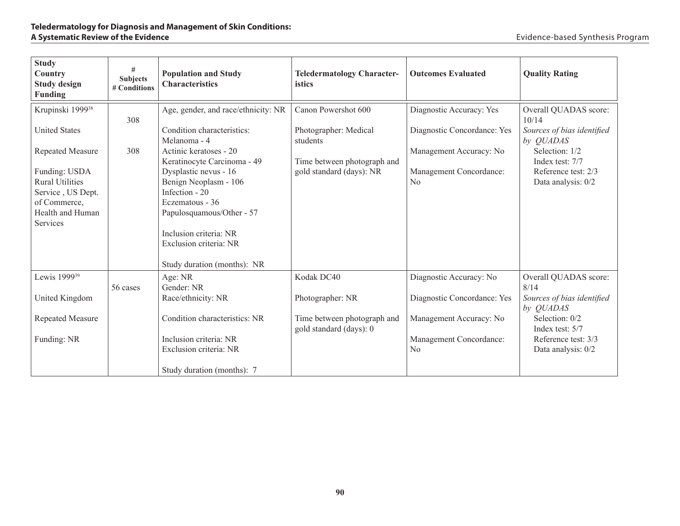| <b>Study</b><br>Country<br><b>Study design</b><br><b>Funding</b>                                             | #<br><b>Subjects</b><br># Conditions | <b>Population and Study</b><br><b>Characteristics</b>                                                                                                                                               | <b>Teledermatology Character-</b><br>istics            | <b>Outcomes Evaluated</b>                 | <b>Quality Rating</b>                     |
|--------------------------------------------------------------------------------------------------------------|--------------------------------------|-----------------------------------------------------------------------------------------------------------------------------------------------------------------------------------------------------|--------------------------------------------------------|-------------------------------------------|-------------------------------------------|
| Krupinski 1999 <sup>38</sup>                                                                                 | 308                                  | Age, gender, and race/ethnicity: NR                                                                                                                                                                 | Canon Powershot 600                                    | Diagnostic Accuracy: Yes                  | Overall QUADAS score:<br>10/14            |
| <b>United States</b>                                                                                         |                                      | Condition characteristics:<br>Melanoma - 4                                                                                                                                                          | Photographer: Medical<br>students                      | Diagnostic Concordance: Yes               | Sources of bias identified<br>by QUADAS   |
| <b>Repeated Measure</b>                                                                                      | 308                                  | Actinic keratoses - 20<br>Keratinocyte Carcinoma - 49                                                                                                                                               | Time between photograph and                            | Management Accuracy: No                   | Selection: 1/2<br>Index test: 7/7         |
| Funding: USDA<br><b>Rural Utilities</b><br>Service, US Dept.<br>of Commerce,<br>Health and Human<br>Services |                                      | Dysplastic nevus - 16<br>Benign Neoplasm - 106<br>Infection - 20<br>Eczematous - 36<br>Papulosquamous/Other - 57<br>Inclusion criteria: NR<br>Exclusion criteria: NR<br>Study duration (months): NR | gold standard (days): NR                               | Management Concordance:<br>N <sub>0</sub> | Reference test: 2/3<br>Data analysis: 0/2 |
| Lewis 1999 <sup>39</sup>                                                                                     | 56 cases                             | Age: NR<br>Gender: NR                                                                                                                                                                               | Kodak DC40                                             | Diagnostic Accuracy: No                   | Overall QUADAS score:<br>8/14             |
| United Kingdom                                                                                               |                                      | Race/ethnicity: NR                                                                                                                                                                                  | Photographer: NR                                       | Diagnostic Concordance: Yes               | Sources of bias identified<br>by QUADAS   |
| <b>Repeated Measure</b>                                                                                      |                                      | Condition characteristics: NR                                                                                                                                                                       | Time between photograph and<br>gold standard (days): 0 | Management Accuracy: No                   | Selection: 0/2<br>Index test: 5/7         |
| Funding: NR                                                                                                  |                                      | Inclusion criteria: NR<br>Exclusion criteria: NR<br>Study duration (months): 7                                                                                                                      |                                                        | Management Concordance:<br>N <sub>0</sub> | Reference test: 3/3<br>Data analysis: 0/2 |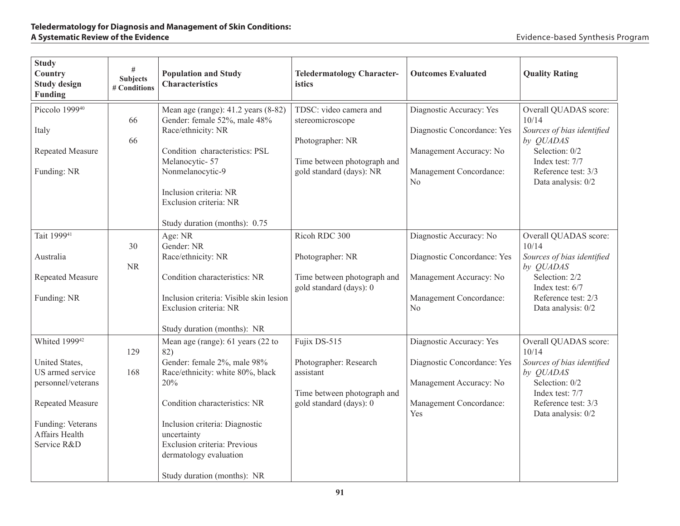| <b>Study</b><br>Country<br><b>Study design</b><br><b>Funding</b>                                                                                                | #<br><b>Subjects</b><br># Conditions | <b>Population and Study</b><br><b>Characteristics</b>                                                                                                                                                                                                                                         | <b>Teledermatology Character-</b><br>istics                                                                               | <b>Outcomes Evaluated</b>                                                                                                       | <b>Quality Rating</b>                                                                                                                                         |
|-----------------------------------------------------------------------------------------------------------------------------------------------------------------|--------------------------------------|-----------------------------------------------------------------------------------------------------------------------------------------------------------------------------------------------------------------------------------------------------------------------------------------------|---------------------------------------------------------------------------------------------------------------------------|---------------------------------------------------------------------------------------------------------------------------------|---------------------------------------------------------------------------------------------------------------------------------------------------------------|
| Piccolo 1999 <sup>40</sup><br>Italy<br>Repeated Measure<br>Funding: NR                                                                                          | 66<br>66                             | Mean age (range): 41.2 years (8-82)<br>Gender: female 52%, male 48%<br>Race/ethnicity: NR<br>Condition characteristics: PSL<br>Melanocytic-57<br>Nonmelanocytic-9<br>Inclusion criteria: NR<br>Exclusion criteria: NR<br>Study duration (months): 0.75                                        | TDSC: video camera and<br>stereomicroscope<br>Photographer: NR<br>Time between photograph and<br>gold standard (days): NR | Diagnostic Accuracy: Yes<br>Diagnostic Concordance: Yes<br>Management Accuracy: No<br>Management Concordance:<br>N <sub>0</sub> | Overall QUADAS score:<br>10/14<br>Sources of bias identified<br>by QUADAS<br>Selection: 0/2<br>Index test: 7/7<br>Reference test: 3/3<br>Data analysis: 0/2   |
| Tait 1999 <sup>41</sup><br>Australia<br>Repeated Measure<br>Funding: NR                                                                                         | 30<br>NR                             | Age: NR<br>Gender: NR<br>Race/ethnicity: NR<br>Condition characteristics: NR<br>Inclusion criteria: Visible skin lesion<br>Exclusion criteria: NR<br>Study duration (months): NR                                                                                                              | Ricoh RDC 300<br>Photographer: NR<br>Time between photograph and<br>gold standard (days): 0                               | Diagnostic Accuracy: No<br>Diagnostic Concordance: Yes<br>Management Accuracy: No<br>Management Concordance:<br>N <sub>0</sub>  | Overall QUADAS score:<br>10/14<br>Sources of bias identified<br>by QUADAS<br>Selection: 2/2<br>Index test: $6/7$<br>Reference test: 2/3<br>Data analysis: 0/2 |
| Whited 1999 <sup>42</sup><br>United States,<br>US armed service<br>personnel/veterans<br>Repeated Measure<br>Funding: Veterans<br>Affairs Health<br>Service R&D | 129<br>168                           | Mean age (range): 61 years (22 to<br>82)<br>Gender: female 2%, male 98%<br>Race/ethnicity: white 80%, black<br>20%<br>Condition characteristics: NR<br>Inclusion criteria: Diagnostic<br>uncertainty<br>Exclusion criteria: Previous<br>dermatology evaluation<br>Study duration (months): NR | Fujix DS-515<br>Photographer: Research<br>assistant<br>Time between photograph and<br>gold standard (days): 0             | Diagnostic Accuracy: Yes<br>Diagnostic Concordance: Yes<br>Management Accuracy: No<br>Management Concordance:<br>Yes            | Overall QUADAS score:<br>10/14<br>Sources of bias identified<br>by QUADAS<br>Selection: 0/2<br>Index test: 7/7<br>Reference test: 3/3<br>Data analysis: 0/2   |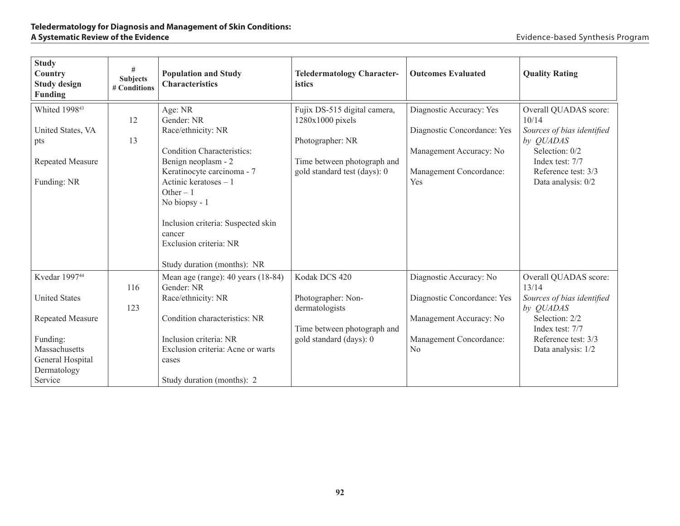| <b>Study</b><br>Country<br><b>Study design</b><br><b>Funding</b>                                                                                 | #<br><b>Subjects</b><br># Conditions | <b>Population and Study</b><br><b>Characteristics</b>                                                                                                                                                                                                                                                  | <b>Teledermatology Character-</b><br>istics                                                                                         | <b>Outcomes Evaluated</b>                                                                                                      | <b>Quality Rating</b>                                                                                                                                       |
|--------------------------------------------------------------------------------------------------------------------------------------------------|--------------------------------------|--------------------------------------------------------------------------------------------------------------------------------------------------------------------------------------------------------------------------------------------------------------------------------------------------------|-------------------------------------------------------------------------------------------------------------------------------------|--------------------------------------------------------------------------------------------------------------------------------|-------------------------------------------------------------------------------------------------------------------------------------------------------------|
| Whited 1998 <sup>43</sup><br>United States, VA<br>pts<br><b>Repeated Measure</b><br>Funding: NR                                                  | 12<br>13                             | Age: NR<br>Gender: NR<br>Race/ethnicity: NR<br><b>Condition Characteristics:</b><br>Benign neoplasm - 2<br>Keratinocyte carcinoma - 7<br>Actinic keratoses - 1<br>Other $-1$<br>No biopsy - 1<br>Inclusion criteria: Suspected skin<br>cancer<br>Exclusion criteria: NR<br>Study duration (months): NR | Fujix DS-515 digital camera,<br>1280x1000 pixels<br>Photographer: NR<br>Time between photograph and<br>gold standard test (days): 0 | Diagnostic Accuracy: Yes<br>Diagnostic Concordance: Yes<br>Management Accuracy: No<br>Management Concordance:<br>Yes           | Overall QUADAS score:<br>10/14<br>Sources of bias identified<br>by QUADAS<br>Selection: 0/2<br>Index test: 7/7<br>Reference test: 3/3<br>Data analysis: 0/2 |
| Kvedar 1997 <sup>44</sup><br><b>United States</b><br>Repeated Measure<br>Funding:<br>Massachusetts<br>General Hospital<br>Dermatology<br>Service | 116<br>123                           | Mean age (range): 40 years (18-84)<br>Gender: NR<br>Race/ethnicity: NR<br>Condition characteristics: NR<br>Inclusion criteria: NR<br>Exclusion criteria: Acne or warts<br>cases<br>Study duration (months): 2                                                                                          | Kodak DCS 420<br>Photographer: Non-<br>dermatologists<br>Time between photograph and<br>gold standard (days): 0                     | Diagnostic Accuracy: No<br>Diagnostic Concordance: Yes<br>Management Accuracy: No<br>Management Concordance:<br>N <sub>0</sub> | Overall QUADAS score:<br>13/14<br>Sources of bias identified<br>by QUADAS<br>Selection: 2/2<br>Index test: 7/7<br>Reference test: 3/3<br>Data analysis: 1/2 |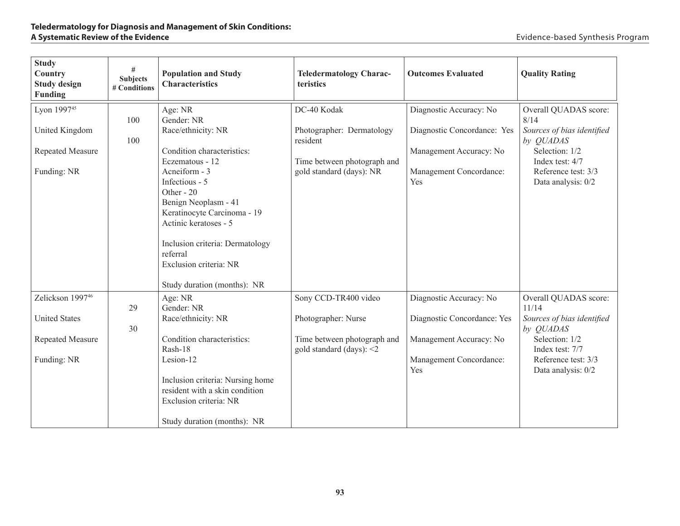| <b>Study</b><br>Country<br><b>Study design</b><br><b>Funding</b> | #<br><b>Subjects</b><br># Conditions | <b>Population and Study</b><br><b>Characteristics</b>              | <b>Teledermatology Charac-</b><br>teristics | <b>Outcomes Evaluated</b>   | <b>Quality Rating</b>          |
|------------------------------------------------------------------|--------------------------------------|--------------------------------------------------------------------|---------------------------------------------|-----------------------------|--------------------------------|
| Lyon 199745                                                      |                                      | Age: NR                                                            | DC-40 Kodak                                 | Diagnostic Accuracy: No     | Overall QUADAS score:          |
|                                                                  | 100                                  | Gender: NR                                                         |                                             |                             | 8/14                           |
| United Kingdom                                                   | 100                                  | Race/ethnicity: NR                                                 | Photographer: Dermatology<br>resident       | Diagnostic Concordance: Yes | Sources of bias identified     |
| Repeated Measure                                                 |                                      | Condition characteristics:                                         |                                             | Management Accuracy: No     | by QUADAS<br>Selection: 1/2    |
|                                                                  |                                      | Eczematous - 12                                                    | Time between photograph and                 |                             | Index test: 4/7                |
| Funding: NR                                                      |                                      | Acneiform - 3                                                      | gold standard (days): NR                    | Management Concordance:     | Reference test: 3/3            |
|                                                                  |                                      | Infectious - 5                                                     |                                             | Yes                         | Data analysis: 0/2             |
|                                                                  |                                      | Other - 20                                                         |                                             |                             |                                |
|                                                                  |                                      | Benign Neoplasm - 41                                               |                                             |                             |                                |
|                                                                  |                                      | Keratinocyte Carcinoma - 19<br>Actinic keratoses - 5               |                                             |                             |                                |
|                                                                  |                                      |                                                                    |                                             |                             |                                |
|                                                                  |                                      | Inclusion criteria: Dermatology                                    |                                             |                             |                                |
|                                                                  |                                      | referral                                                           |                                             |                             |                                |
|                                                                  |                                      | Exclusion criteria: NR                                             |                                             |                             |                                |
|                                                                  |                                      |                                                                    |                                             |                             |                                |
|                                                                  |                                      | Study duration (months): NR                                        |                                             |                             |                                |
| Zelickson 199746                                                 | 29                                   | Age: NR<br>Gender: NR                                              | Sony CCD-TR400 video                        | Diagnostic Accuracy: No     | Overall QUADAS score:<br>11/14 |
| <b>United States</b>                                             |                                      | Race/ethnicity: NR                                                 | Photographer: Nurse                         | Diagnostic Concordance: Yes | Sources of bias identified     |
|                                                                  | 30                                   |                                                                    |                                             |                             | by QUADAS                      |
| Repeated Measure                                                 |                                      | Condition characteristics:                                         | Time between photograph and                 | Management Accuracy: No     | Selection: 1/2                 |
|                                                                  |                                      | Rash-18                                                            | gold standard (days): $\leq$ 2              |                             | Index test: 7/7                |
| Funding: NR                                                      |                                      | Lesion-12                                                          |                                             | Management Concordance:     | Reference test: 3/3            |
|                                                                  |                                      |                                                                    |                                             | Yes                         | Data analysis: 0/2             |
|                                                                  |                                      | Inclusion criteria: Nursing home<br>resident with a skin condition |                                             |                             |                                |
|                                                                  |                                      | Exclusion criteria: NR                                             |                                             |                             |                                |
|                                                                  |                                      |                                                                    |                                             |                             |                                |
|                                                                  |                                      | Study duration (months): NR                                        |                                             |                             |                                |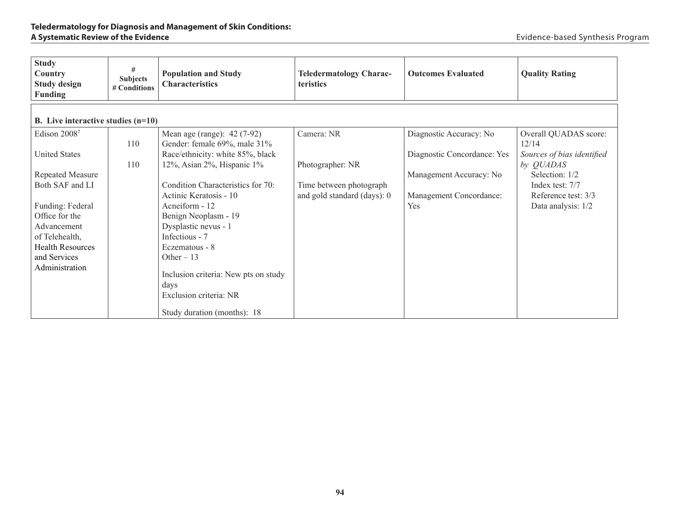| <b>Study</b><br>Country<br><b>Study design</b><br><b>Funding</b> | #<br><b>Subjects</b><br># Conditions | <b>Population and Study</b><br><b>Characteristics</b> | <b>Teledermatology Charac-</b><br><b>teristics</b> | <b>Outcomes Evaluated</b>   | <b>Quality Rating</b>      |
|------------------------------------------------------------------|--------------------------------------|-------------------------------------------------------|----------------------------------------------------|-----------------------------|----------------------------|
| <b>B.</b> Live interactive studies $(n=10)$                      |                                      |                                                       |                                                    |                             |                            |
| Edison 20087                                                     |                                      | Mean age (range): 42 (7-92)                           | Camera: NR                                         | Diagnostic Accuracy: No     | Overall QUADAS score:      |
|                                                                  | 110                                  | Gender: female 69%, male 31%                          |                                                    |                             | 12/14                      |
| <b>United States</b>                                             |                                      | Race/ethnicity: white 85%, black                      |                                                    | Diagnostic Concordance: Yes | Sources of bias identified |
|                                                                  | 110                                  | 12%, Asian 2%, Hispanic $1\%$                         | Photographer: NR                                   |                             | by QUADAS                  |
| Repeated Measure                                                 |                                      |                                                       |                                                    | Management Accuracy: No     | Selection: 1/2             |
| Both SAF and LI                                                  |                                      | Condition Characteristics for 70:                     | Time between photograph                            |                             | Index test: 7/7            |
|                                                                  |                                      | Actinic Keratosis - 10                                | and gold standard (days): 0                        | Management Concordance:     | Reference test: 3/3        |
| Funding: Federal                                                 |                                      | Acneiform - 12                                        |                                                    | Yes                         | Data analysis: 1/2         |
| Office for the                                                   |                                      | Benign Neoplasm - 19                                  |                                                    |                             |                            |
| Advancement                                                      |                                      | Dysplastic nevus - 1                                  |                                                    |                             |                            |
| of Telehealth,                                                   |                                      | Infectious - 7                                        |                                                    |                             |                            |
| <b>Health Resources</b>                                          |                                      | Eczematous - 8                                        |                                                    |                             |                            |
| and Services                                                     |                                      | Other $-13$                                           |                                                    |                             |                            |
| Administration                                                   |                                      |                                                       |                                                    |                             |                            |
|                                                                  |                                      | Inclusion criteria: New pts on study                  |                                                    |                             |                            |
|                                                                  |                                      | days<br>Exclusion criteria: NR                        |                                                    |                             |                            |
|                                                                  |                                      |                                                       |                                                    |                             |                            |
|                                                                  |                                      | Study duration (months): 18                           |                                                    |                             |                            |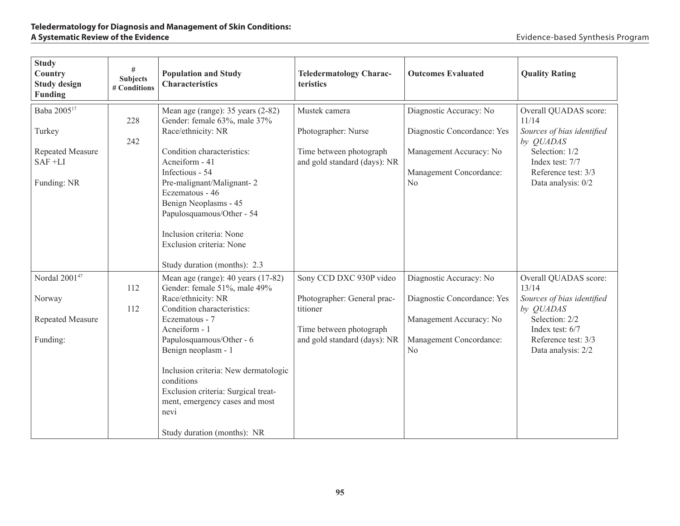| <b>Study</b><br>Country<br><b>Study design</b><br><b>Funding</b> | #<br><b>Subjects</b><br># Conditions | <b>Population and Study</b><br><b>Characteristics</b>                                                                                                                                      | <b>Teledermatology Charac-</b><br>teristics             | <b>Outcomes Evaluated</b>                          | <b>Quality Rating</b>                                    |
|------------------------------------------------------------------|--------------------------------------|--------------------------------------------------------------------------------------------------------------------------------------------------------------------------------------------|---------------------------------------------------------|----------------------------------------------------|----------------------------------------------------------|
| Baba 2005 <sup>17</sup>                                          | 228                                  | Mean age (range): 35 years (2-82)<br>Gender: female 63%, male 37%                                                                                                                          | Mustek camera                                           | Diagnostic Accuracy: No                            | Overall QUADAS score:<br>11/14                           |
| Turkey                                                           | 242                                  | Race/ethnicity: NR                                                                                                                                                                         | Photographer: Nurse                                     | Diagnostic Concordance: Yes                        | Sources of bias identified<br>by QUADAS                  |
| Repeated Measure<br>$SAF + LI$                                   |                                      | Condition characteristics:<br>Acneiform - 41<br>Infectious - 54                                                                                                                            | Time between photograph<br>and gold standard (days): NR | Management Accuracy: No<br>Management Concordance: | Selection: 1/2<br>Index test: 7/7<br>Reference test: 3/3 |
| Funding: NR                                                      |                                      | Pre-malignant/Malignant-2<br>Eczematous - 46<br>Benign Neoplasms - 45<br>Papulosquamous/Other - 54<br>Inclusion criteria: None<br>Exclusion criteria: None<br>Study duration (months): 2.3 |                                                         | No                                                 | Data analysis: 0/2                                       |
| Nordal 2001 <sup>47</sup>                                        | 112                                  | Mean age (range): 40 years (17-82)<br>Gender: female 51%, male 49%                                                                                                                         | Sony CCD DXC 930P video                                 | Diagnostic Accuracy: No                            | Overall QUADAS score:<br>13/14                           |
| Norway                                                           | 112                                  | Race/ethnicity: NR<br>Condition characteristics:                                                                                                                                           | Photographer: General prac-<br>titioner                 | Diagnostic Concordance: Yes                        | Sources of bias identified<br>by QUADAS                  |
| Repeated Measure                                                 |                                      | Eczematous - 7<br>Acneiform - 1                                                                                                                                                            | Time between photograph                                 | Management Accuracy: No                            | Selection: 2/2<br>Index test: 6/7                        |
| Funding:                                                         |                                      | Papulosquamous/Other - 6<br>Benign neoplasm - 1<br>Inclusion criteria: New dermatologic<br>conditions<br>Exclusion criteria: Surgical treat-<br>ment, emergency cases and most             | and gold standard (days): NR                            | Management Concordance:<br>N <sub>0</sub>          | Reference test: 3/3<br>Data analysis: 2/2                |
|                                                                  |                                      | nevi<br>Study duration (months): NR                                                                                                                                                        |                                                         |                                                    |                                                          |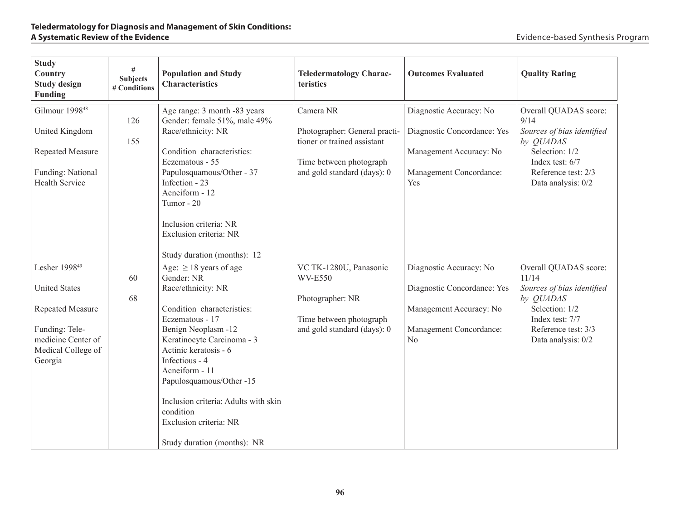| <b>Study</b><br>Country<br><b>Study design</b><br>Funding                                                                                      | #<br><b>Subjects</b><br># Conditions | <b>Population and Study</b><br><b>Characteristics</b>                                                                                                                                                                                                                                                                                                                        | <b>Teledermatology Charac-</b><br>teristics                                                                                         | <b>Outcomes Evaluated</b>                                                                                           | <b>Quality Rating</b>                                                                                                                                       |
|------------------------------------------------------------------------------------------------------------------------------------------------|--------------------------------------|------------------------------------------------------------------------------------------------------------------------------------------------------------------------------------------------------------------------------------------------------------------------------------------------------------------------------------------------------------------------------|-------------------------------------------------------------------------------------------------------------------------------------|---------------------------------------------------------------------------------------------------------------------|-------------------------------------------------------------------------------------------------------------------------------------------------------------|
| Gilmour 1998 <sup>48</sup><br>United Kingdom<br>Repeated Measure<br>Funding: National<br>Health Service                                        | 126<br>155                           | Age range: 3 month -83 years<br>Gender: female 51%, male 49%<br>Race/ethnicity: NR<br>Condition characteristics:<br>Eczematous - 55<br>Papulosquamous/Other - 37<br>Infection - 23<br>Acneiform - 12<br>Tumor - 20<br>Inclusion criteria: NR<br>Exclusion criteria: NR<br>Study duration (months): 12                                                                        | Camera NR<br>Photographer: General practi-<br>tioner or trained assistant<br>Time between photograph<br>and gold standard (days): 0 | Diagnostic Accuracy: No<br>Diagnostic Concordance: Yes<br>Management Accuracy: No<br>Management Concordance:<br>Yes | Overall QUADAS score:<br>9/14<br>Sources of bias identified<br>by QUADAS<br>Selection: 1/2<br>Index test: 6/7<br>Reference test: 2/3<br>Data analysis: 0/2  |
| Lesher 1998 <sup>49</sup><br><b>United States</b><br>Repeated Measure<br>Funding: Tele-<br>medicine Center of<br>Medical College of<br>Georgia | 60<br>68                             | Age: $\geq$ 18 years of age<br>Gender: NR<br>Race/ethnicity: NR<br>Condition characteristics:<br>Eczematous - 17<br>Benign Neoplasm -12<br>Keratinocyte Carcinoma - 3<br>Actinic keratosis - 6<br>Infectious - 4<br>Acneiform - 11<br>Papulosquamous/Other -15<br>Inclusion criteria: Adults with skin<br>condition<br>Exclusion criteria: NR<br>Study duration (months): NR | VC TK-1280U, Panasonic<br><b>WV-E550</b><br>Photographer: NR<br>Time between photograph<br>and gold standard (days): 0              | Diagnostic Accuracy: No<br>Diagnostic Concordance: Yes<br>Management Accuracy: No<br>Management Concordance:<br>No  | Overall QUADAS score:<br>11/14<br>Sources of bias identified<br>by QUADAS<br>Selection: 1/2<br>Index test: 7/7<br>Reference test: 3/3<br>Data analysis: 0/2 |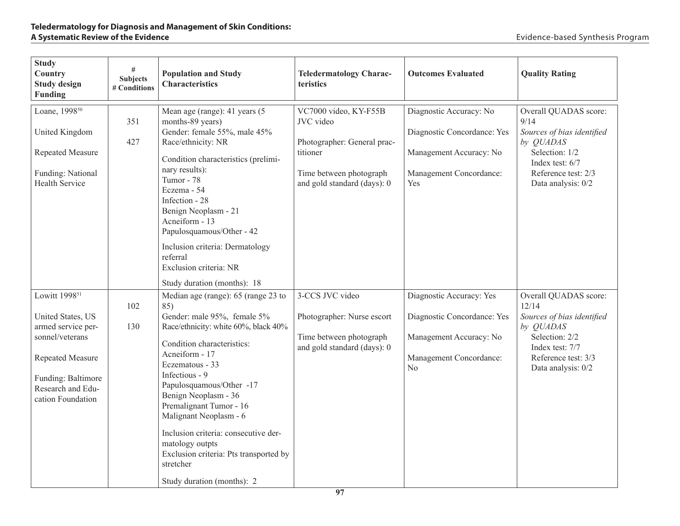| <b>Study</b><br>Country<br><b>Study design</b><br>Funding                                                                                                                   | $\#$<br><b>Subjects</b><br># Conditions | <b>Population and Study</b><br><b>Characteristics</b>                                                                                                                                                                                                                                                                                                                                                                                                           | <b>Teledermatology Charac-</b><br>teristics                                                                                             | <b>Outcomes Evaluated</b>                                                                                                       | <b>Quality Rating</b>                                                                                                                                             |
|-----------------------------------------------------------------------------------------------------------------------------------------------------------------------------|-----------------------------------------|-----------------------------------------------------------------------------------------------------------------------------------------------------------------------------------------------------------------------------------------------------------------------------------------------------------------------------------------------------------------------------------------------------------------------------------------------------------------|-----------------------------------------------------------------------------------------------------------------------------------------|---------------------------------------------------------------------------------------------------------------------------------|-------------------------------------------------------------------------------------------------------------------------------------------------------------------|
| Loane, 1998 <sup>50</sup><br>United Kingdom<br>Repeated Measure<br>Funding: National<br><b>Health Service</b>                                                               | 351<br>427                              | Mean age (range): 41 years (5<br>months-89 years)<br>Gender: female 55%, male 45%<br>Race/ethnicity: NR<br>Condition characteristics (prelimi-<br>nary results):<br>Tumor - 78<br>Eczema - 54<br>Infection - 28<br>Benign Neoplasm - 21<br>Acneiform - 13<br>Papulosquamous/Other - 42<br>Inclusion criteria: Dermatology<br>referral<br>Exclusion criteria: NR<br>Study duration (months): 18                                                                  | VC7000 video, KY-F55B<br>JVC video<br>Photographer: General prac-<br>titioner<br>Time between photograph<br>and gold standard (days): 0 | Diagnostic Accuracy: No<br>Diagnostic Concordance: Yes<br>Management Accuracy: No<br>Management Concordance:<br>Yes             | Overall QUADAS score:<br>9/14<br>Sources of bias identified<br>by <i>QUADAS</i><br>Selection: 1/2<br>Index test: 6/7<br>Reference test: 2/3<br>Data analysis: 0/2 |
| Lowitt 1998 <sup>51</sup><br>United States, US<br>armed service per-<br>sonnel/veterans<br>Repeated Measure<br>Funding: Baltimore<br>Research and Edu-<br>cation Foundation | 102<br>130                              | Median age (range): 65 (range 23 to<br>85)<br>Gender: male 95%, female 5%<br>Race/ethnicity: white 60%, black 40%<br>Condition characteristics:<br>Acneiform - 17<br>Eczematous - 33<br>Infectious - 9<br>Papulosquamous/Other -17<br>Benign Neoplasm - 36<br>Premalignant Tumor - 16<br>Malignant Neoplasm - 6<br>Inclusion criteria: consecutive der-<br>matology outpts<br>Exclusion criteria: Pts transported by<br>stretcher<br>Study duration (months): 2 | 3-CCS JVC video<br>Photographer: Nurse escort<br>Time between photograph<br>and gold standard (days): 0                                 | Diagnostic Accuracy: Yes<br>Diagnostic Concordance: Yes<br>Management Accuracy: No<br>Management Concordance:<br>N <sub>o</sub> | Overall QUADAS score:<br>12/14<br>Sources of bias identified<br>by QUADAS<br>Selection: 2/2<br>Index test: 7/7<br>Reference test: 3/3<br>Data analysis: 0/2       |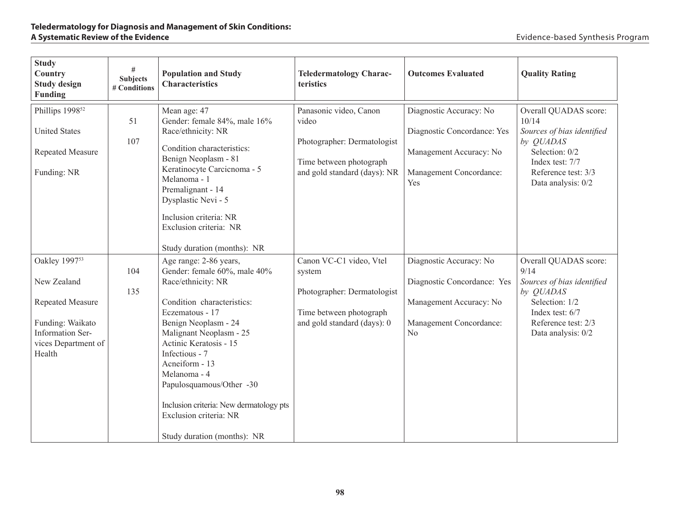| <b>Study</b><br>Country<br><b>Study design</b><br>Funding                                                                                    | #<br><b>Subjects</b><br># Conditions | <b>Population and Study</b><br><b>Characteristics</b>                                                                                                                                                                                                                                                                                                                                          | <b>Teledermatology Charac-</b><br>teristics                                                                                | <b>Outcomes Evaluated</b>                                                                                                      | <b>Quality Rating</b>                                                                                                                                        |
|----------------------------------------------------------------------------------------------------------------------------------------------|--------------------------------------|------------------------------------------------------------------------------------------------------------------------------------------------------------------------------------------------------------------------------------------------------------------------------------------------------------------------------------------------------------------------------------------------|----------------------------------------------------------------------------------------------------------------------------|--------------------------------------------------------------------------------------------------------------------------------|--------------------------------------------------------------------------------------------------------------------------------------------------------------|
| Phillips 1998 <sup>52</sup><br><b>United States</b><br>Repeated Measure<br>Funding: NR                                                       | 51<br>107                            | Mean age: 47<br>Gender: female 84%, male 16%<br>Race/ethnicity: NR<br>Condition characteristics:<br>Benign Neoplasm - 81<br>Keratinocyte Carcicnoma - 5<br>Melanoma - 1<br>Premalignant - 14<br>Dysplastic Nevi - 5<br>Inclusion criteria: NR<br>Exclusion criteria: NR                                                                                                                        | Panasonic video, Canon<br>video<br>Photographer: Dermatologist<br>Time between photograph<br>and gold standard (days): NR  | Diagnostic Accuracy: No<br>Diagnostic Concordance: Yes<br>Management Accuracy: No<br>Management Concordance:<br><b>Yes</b>     | Overall QUADAS score:<br>10/14<br>Sources of bias identified<br>by QUADAS<br>Selection: 0/2<br>Index test: 7/7<br>Reference test: 3/3<br>Data analysis: 0/2  |
|                                                                                                                                              |                                      | Study duration (months): NR                                                                                                                                                                                                                                                                                                                                                                    |                                                                                                                            |                                                                                                                                |                                                                                                                                                              |
| Oakley 1997 <sup>53</sup><br>New Zealand<br>Repeated Measure<br>Funding: Waikato<br><b>Information Ser-</b><br>vices Department of<br>Health | 104<br>135                           | Age range: 2-86 years,<br>Gender: female 60%, male 40%<br>Race/ethnicity: NR<br>Condition characteristics:<br>Eczematous - 17<br>Benign Neoplasm - 24<br>Malignant Neoplasm - 25<br>Actinic Keratosis - 15<br>Infectious - 7<br>Acneiform - 13<br>Melanoma - 4<br>Papulosquamous/Other -30<br>Inclusion criteria: New dermatology pts<br>Exclusion criteria: NR<br>Study duration (months): NR | Canon VC-C1 video, Vtel<br>system<br>Photographer: Dermatologist<br>Time between photograph<br>and gold standard (days): 0 | Diagnostic Accuracy: No<br>Diagnostic Concordance: Yes<br>Management Accuracy: No<br>Management Concordance:<br>N <sub>o</sub> | Overall QUADAS score:<br>9/14<br>Sources of bias identified<br>by QUADAS<br>Selection: 1/2<br>Index test: $6/7$<br>Reference test: 2/3<br>Data analysis: 0/2 |